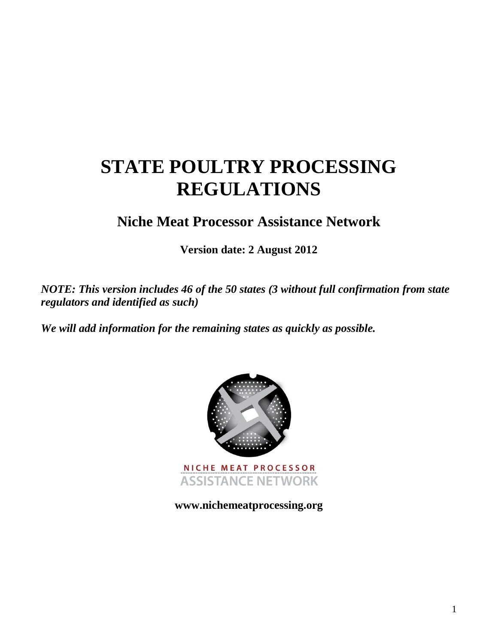# **STATE POULTRY PROCESSING REGULATIONS**

**Niche Meat Processor Assistance Network**

**Version date: 2 August 2012**

*NOTE: This version includes 46 of the 50 states (3 without full confirmation from state regulators and identified as such)*

*We will add information for the remaining states as quickly as possible.*



**www.nichemeatprocessing.org**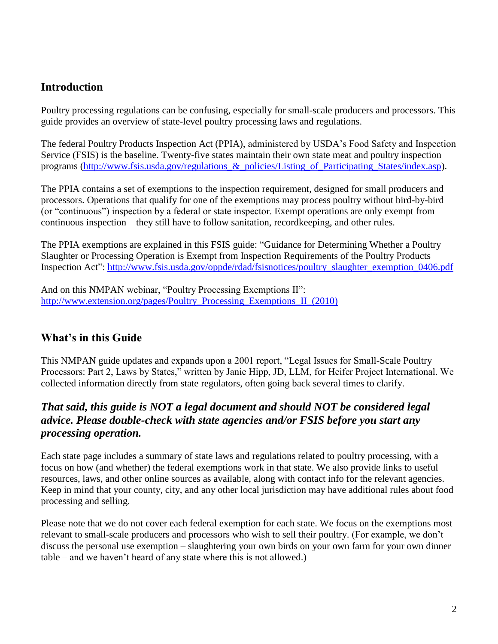# **Introduction**

Poultry processing regulations can be confusing, especially for small-scale producers and processors. This guide provides an overview of state-level poultry processing laws and regulations.

The federal Poultry Products Inspection Act (PPIA), administered by USDA's Food Safety and Inspection Service (FSIS) is the baseline. Twenty-five states maintain their own state meat and poultry inspection programs (http://www.fsis.usda.gov/regulations & policies/Listing of Participating States/index.asp).

The PPIA contains a set of exemptions to the inspection requirement, designed for small producers and processors. Operations that qualify for one of the exemptions may process poultry without bird-by-bird (or "continuous") inspection by a federal or state inspector. Exempt operations are only exempt from continuous inspection – they still have to follow sanitation, recordkeeping, and other rules.

The PPIA exemptions are explained in this FSIS guide: "Guidance for Determining Whether a Poultry Slaughter or Processing Operation is Exempt from Inspection Requirements of the Poultry Products Inspection Act": [http://www.fsis.usda.gov/oppde/rdad/fsisnotices/poultry\\_slaughter\\_exemption\\_0406.pdf](http://www.fsis.usda.gov/oppde/rdad/fsisnotices/poultry_slaughter_exemption_0406.pdf)

And on this NMPAN webinar, "Poultry Processing Exemptions II": [http://www.extension.org/pages/Poultry\\_Processing\\_Exemptions\\_II\\_\(2010\)](http://www.extension.org/pages/Poultry_Processing_Exemptions_II_(2010))

# **What's in this Guide**

This NMPAN guide updates and expands upon a 2001 report, "Legal Issues for Small-Scale Poultry Processors: Part 2, Laws by States," written by Janie Hipp, JD, LLM, for Heifer Project International. We collected information directly from state regulators, often going back several times to clarify.

# *That said, this guide is NOT a legal document and should NOT be considered legal advice. Please double-check with state agencies and/or FSIS before you start any processing operation.*

Each state page includes a summary of state laws and regulations related to poultry processing, with a focus on how (and whether) the federal exemptions work in that state. We also provide links to useful resources, laws, and other online sources as available, along with contact info for the relevant agencies. Keep in mind that your county, city, and any other local jurisdiction may have additional rules about food processing and selling.

Please note that we do not cover each federal exemption for each state. We focus on the exemptions most relevant to small-scale producers and processors who wish to sell their poultry. (For example, we don't discuss the personal use exemption – slaughtering your own birds on your own farm for your own dinner table – and we haven't heard of any state where this is not allowed.)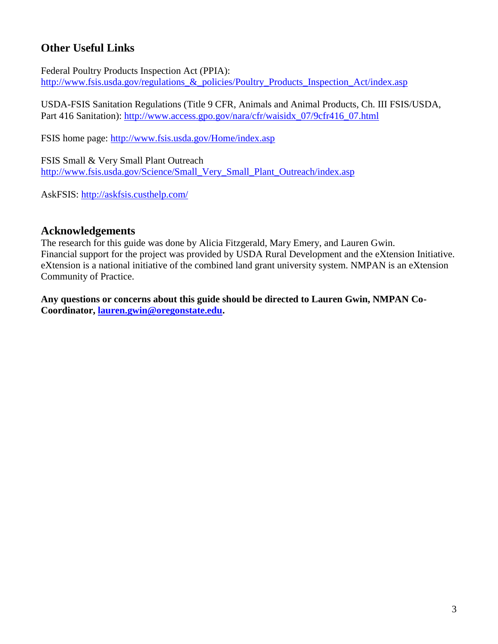# **Other Useful Links**

Federal Poultry Products Inspection Act (PPIA): http://www.fsis.usda.gov/regulations & policies/Poultry Products Inspection Act/index.asp

USDA-FSIS Sanitation Regulations (Title 9 CFR, Animals and Animal Products, Ch. III FSIS/USDA, Part 416 Sanitation): http://www.access.gpo.gov/nara/cfr/waisidx 07/9cfr416 07.html

FSIS home page:<http://www.fsis.usda.gov/Home/index.asp>

FSIS Small & Very Small Plant Outreach [http://www.fsis.usda.gov/Science/Small\\_Very\\_Small\\_Plant\\_Outreach/index.asp](http://www.fsis.usda.gov/Science/Small_Very_Small_Plant_Outreach/index.asp)

AskFSIS:<http://askfsis.custhelp.com/>

# **Acknowledgements**

The research for this guide was done by Alicia Fitzgerald, Mary Emery, and Lauren Gwin. Financial support for the project was provided by USDA Rural Development and the eXtension Initiative. eXtension is a national initiative of the combined land grant university system. NMPAN is an eXtension Community of Practice.

**Any questions or concerns about this guide should be directed to Lauren Gwin, NMPAN Co-Coordinator, [lauren.gwin@oregonstate.edu.](mailto:lauren.gwin@oregonstate.edu)**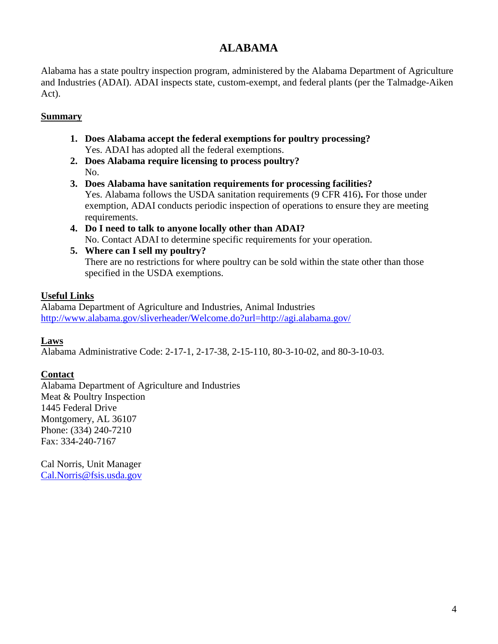# **ALABAMA**

Alabama has a state poultry inspection program, administered by the Alabama Department of Agriculture and Industries (ADAI). ADAI inspects state, custom-exempt, and federal plants (per the Talmadge-Aiken Act).

# **Summary**

- **1. Does Alabama accept the federal exemptions for poultry processing?** Yes. ADAI has adopted all the federal exemptions.
- **2. Does Alabama require licensing to process poultry?** No.
- **3. Does Alabama have sanitation requirements for processing facilities?** Yes. Alabama follows the USDA sanitation requirements (9 CFR 416)**.** For those under exemption, ADAI conducts periodic inspection of operations to ensure they are meeting requirements.
- **4. Do I need to talk to anyone locally other than ADAI?** No. Contact ADAI to determine specific requirements for your operation.
- **5. Where can I sell my poultry?** There are no restrictions for where poultry can be sold within the state other than those specified in the USDA exemptions.

# **Useful Links**

Alabama Department of Agriculture and Industries, Animal Industries <http://www.alabama.gov/sliverheader/Welcome.do?url=http://agi.alabama.gov/>

# **Laws**

Alabama Administrative Code: 2-17-1, 2-17-38, 2-15-110, 80-3-10-02, and 80-3-10-03.

# **Contact**

Alabama Department of Agriculture and Industries Meat & Poultry Inspection 1445 Federal Drive Montgomery, AL 36107 Phone: (334) 240-7210 Fax: 334-240-7167

Cal Norris, Unit Manager [Cal.Norris@fsis.usda.gov](mailto:Cal.Norris@fsis.usda.gov)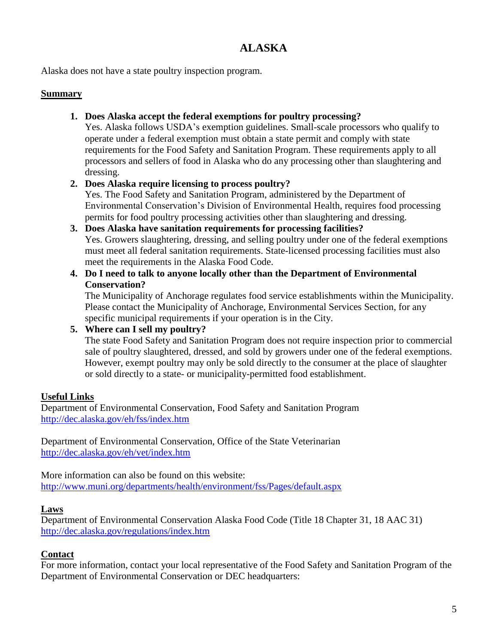# **ALASKA**

Alaska does not have a state poultry inspection program.

#### **Summary**

**1. Does Alaska accept the federal exemptions for poultry processing?**

Yes. Alaska follows USDA's exemption guidelines. Small-scale processors who qualify to operate under a federal exemption must obtain a state permit and comply with state requirements for the Food Safety and Sanitation Program. These requirements apply to all processors and sellers of food in Alaska who do any processing other than slaughtering and dressing.

### **2. Does Alaska require licensing to process poultry?**

Yes. The Food Safety and Sanitation Program, administered by the Department of Environmental Conservation's Division of Environmental Health, requires food processing permits for food poultry processing activities other than slaughtering and dressing.

- **3. Does Alaska have sanitation requirements for processing facilities?** Yes. Growers slaughtering, dressing, and selling poultry under one of the federal exemptions must meet all federal sanitation requirements. State-licensed processing facilities must also meet the requirements in the Alaska Food Code.
- **4. Do I need to talk to anyone locally other than the Department of Environmental Conservation?**

The Municipality of Anchorage regulates food service establishments within the Municipality. Please contact the Municipality of Anchorage, Environmental Services Section, for any specific municipal requirements if your operation is in the City.

### **5. Where can I sell my poultry?**

The state Food Safety and Sanitation Program does not require inspection prior to commercial sale of poultry slaughtered, dressed, and sold by growers under one of the federal exemptions. However, exempt poultry may only be sold directly to the consumer at the place of slaughter or sold directly to a state- or municipality-permitted food establishment.

# **Useful Links**

Department of Environmental Conservation, Food Safety and Sanitation Program <http://dec.alaska.gov/eh/fss/index.htm>

Department of Environmental Conservation, Office of the State Veterinarian <http://dec.alaska.gov/eh/vet/index.htm>

More information can also be found on this website: <http://www.muni.org/departments/health/environment/fss/Pages/default.aspx>

### **Laws**

Department of Environmental Conservation Alaska Food Code (Title 18 Chapter 31, 18 AAC 31) <http://dec.alaska.gov/regulations/index.htm>

### **Contact**

For more information, contact your local representative of the Food Safety and Sanitation Program of the Department of Environmental Conservation or DEC headquarters: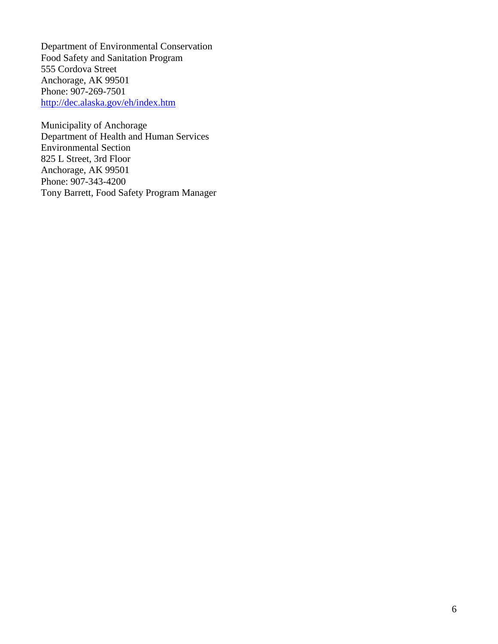Department of Environmental Conservation Food Safety and Sanitation Program 555 Cordova Street Anchorage, AK 99501 Phone: 907-269-7501 <http://dec.alaska.gov/eh/index.htm>

Municipality of Anchorage Department of Health and Human Services Environmental Section 825 L Street, 3rd Floor Anchorage, AK 99501 Phone: 907-343-4200 Tony Barrett, Food Safety Program Manager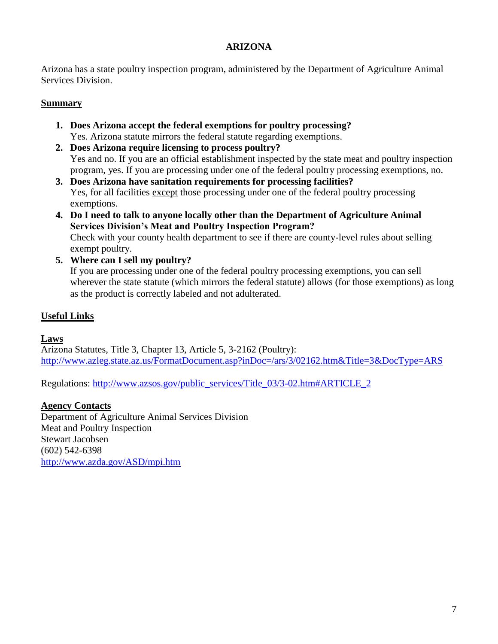### **ARIZONA**

Arizona has a state poultry inspection program, administered by the Department of Agriculture Animal Services Division.

### **Summary**

- **1. Does Arizona accept the federal exemptions for poultry processing?** Yes. Arizona statute mirrors the federal statute regarding exemptions.
- **2. Does Arizona require licensing to process poultry?** Yes and no. If you are an official establishment inspected by the state meat and poultry inspection program, yes. If you are processing under one of the federal poultry processing exemptions, no.
- **3. Does Arizona have sanitation requirements for processing facilities?** Yes, for all facilities except those processing under one of the federal poultry processing exemptions.
- **4. Do I need to talk to anyone locally other than the Department of Agriculture Animal Services Division's Meat and Poultry Inspection Program?**  Check with your county health department to see if there are county-level rules about selling exempt poultry.
- **5. Where can I sell my poultry?**

If you are processing under one of the federal poultry processing exemptions, you can sell wherever the state statute (which mirrors the federal statute) allows (for those exemptions) as long as the product is correctly labeled and not adulterated.

# **Useful Links**

### **Laws**

Arizona Statutes, Title 3, Chapter 13, Article 5, 3-2162 (Poultry): <http://www.azleg.state.az.us/FormatDocument.asp?inDoc=/ars/3/02162.htm&Title=3&DocType=ARS>

Regulations: [http://www.azsos.gov/public\\_services/Title\\_03/3-02.htm#ARTICLE\\_2](http://www.azsos.gov/public_services/Title_03/3-02.htm#ARTICLE_2)

### **Agency Contacts**

Department of Agriculture Animal Services Division Meat and Poultry Inspection Stewart Jacobsen (602) 542-6398 <http://www.azda.gov/ASD/mpi.htm>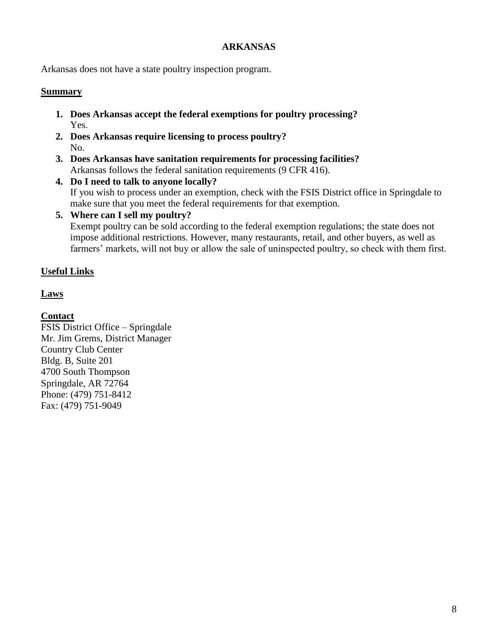#### **ARKANSAS**

Arkansas does not have a state poultry inspection program.

#### **Summary**

- **1. Does Arkansas accept the federal exemptions for poultry processing?** Yes.
- **2. Does Arkansas require licensing to process poultry?** No.
- **3. Does Arkansas have sanitation requirements for processing facilities?** Arkansas follows the federal sanitation requirements (9 CFR 416).

#### **4. Do I need to talk to anyone locally?**

If you wish to process under an exemption, check with the FSIS District office in Springdale to make sure that you meet the federal requirements for that exemption.

#### **5. Where can I sell my poultry?**

Exempt poultry can be sold according to the federal exemption regulations; the state does not impose additional restrictions. However, many restaurants, retail, and other buyers, as well as farmers' markets, will not buy or allow the sale of uninspected poultry, so check with them first.

# **Useful Links**

**Laws**

# **Contact**

FSIS District Office – Springdale Mr. Jim Grems, District Manager Country Club Center Bldg. B, Suite 201 4700 South Thompson Springdale, AR 72764 Phone: (479) 751-8412 Fax: (479) 751-9049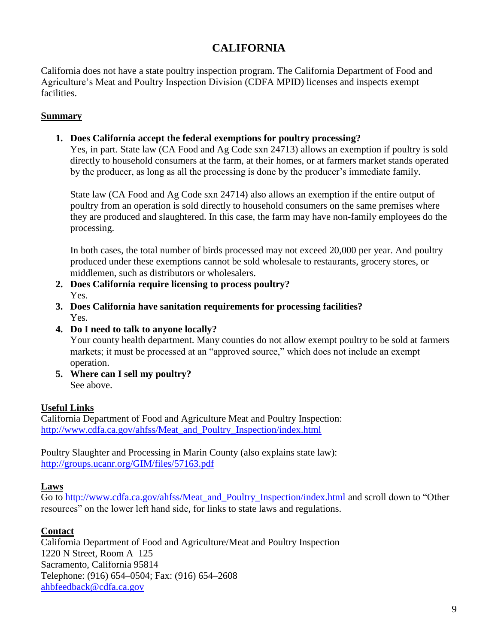# **CALIFORNIA**

California does not have a state poultry inspection program. The California Department of Food and Agriculture's Meat and Poultry Inspection Division (CDFA MPID) licenses and inspects exempt facilities.

### **Summary**

# **1. Does California accept the federal exemptions for poultry processing?**

Yes, in part. State law (CA Food and Ag Code sxn 24713) allows an exemption if poultry is sold directly to household consumers at the farm, at their homes, or at farmers market stands operated by the producer, as long as all the processing is done by the producer's immediate family.

State law (CA Food and Ag Code sxn 24714) also allows an exemption if the entire output of poultry from an operation is sold directly to household consumers on the same premises where they are produced and slaughtered. In this case, the farm may have non-family employees do the processing.

In both cases, the total number of birds processed may not exceed 20,000 per year. And poultry produced under these exemptions cannot be sold wholesale to restaurants, grocery stores, or middlemen, such as distributors or wholesalers.

- **2. Does California require licensing to process poultry?** Yes.
- **3. Does California have sanitation requirements for processing facilities?** Yes.
- **4. Do I need to talk to anyone locally?**

Your county health department. Many counties do not allow exempt poultry to be sold at farmers markets; it must be processed at an "approved source," which does not include an exempt operation.

**5. Where can I sell my poultry?** See above.

# **Useful Links**

California Department of Food and Agriculture Meat and Poultry Inspection: [http://www.cdfa.ca.gov/ahfss/Meat\\_and\\_Poultry\\_Inspection/index.html](http://www.cdfa.ca.gov/ahfss/Meat_and_Poultry_Inspection/index.html)

Poultry Slaughter and Processing in Marin County (also explains state law): <http://groups.ucanr.org/GIM/files/57163.pdf>

### **Laws**

Go to [http://www.cdfa.ca.gov/ahfss/Meat\\_and\\_Poultry\\_Inspection/index.html](http://www.cdfa.ca.gov/ahfss/Meat_and_Poultry_Inspection/index.html) and scroll down to "Other resources" on the lower left hand side, for links to state laws and regulations.

# **Contact**

California Department of Food and Agriculture/Meat and Poultry Inspection 1220 N Street, Room A–125 Sacramento, California 95814 Telephone: (916) 654–0504; Fax: (916) 654–2608 [ahbfeedback@cdfa.ca.gov](mailto:ahbfeedback@cdfa.ca.gov?Subject=Inquiry_from_a_web_page)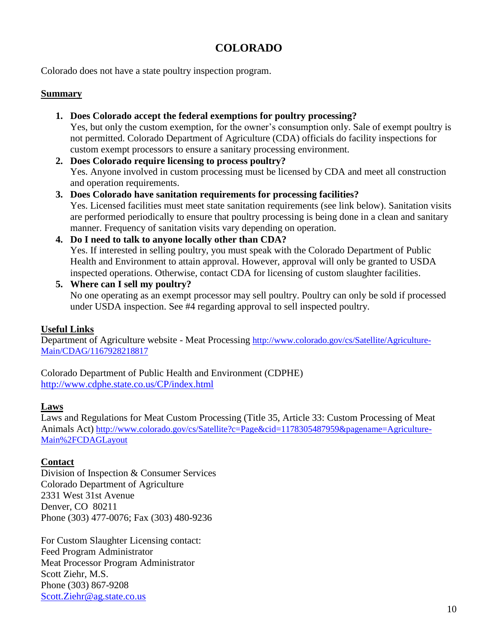# **COLORADO**

Colorado does not have a state poultry inspection program.

#### **Summary**

- **1. Does Colorado accept the federal exemptions for poultry processing?** Yes, but only the custom exemption, for the owner's consumption only. Sale of exempt poultry is not permitted. Colorado Department of Agriculture (CDA) officials do facility inspections for custom exempt processors to ensure a sanitary processing environment.
- **2. Does Colorado require licensing to process poultry?** Yes. Anyone involved in custom processing must be licensed by CDA and meet all construction and operation requirements.
- **3. Does Colorado have sanitation requirements for processing facilities?** Yes. Licensed facilities must meet state sanitation requirements (see link below). Sanitation visits are performed periodically to ensure that poultry processing is being done in a clean and sanitary manner. Frequency of sanitation visits vary depending on operation.
- **4. Do I need to talk to anyone locally other than CDA?** Yes. If interested in selling poultry, you must speak with the Colorado Department of Public Health and Environment to attain approval. However, approval will only be granted to USDA inspected operations. Otherwise, contact CDA for licensing of custom slaughter facilities.
- **5. Where can I sell my poultry?** No one operating as an exempt processor may sell poultry. Poultry can only be sold if processed under USDA inspection. See #4 regarding approval to sell inspected poultry.

#### **Useful Links**

Department of Agriculture website - Meat Processing [http://www.colorado.gov/cs/Satellite/Agriculture-](http://www.colorado.gov/cs/Satellite/Agriculture-Main/CDAG/1167928218817)[Main/CDAG/1167928218817](http://www.colorado.gov/cs/Satellite/Agriculture-Main/CDAG/1167928218817) 

Colorado Department of Public Health and Environment (CDPHE) <http://www.cdphe.state.co.us/CP/index.html>

#### **Laws**

Laws and Regulations for Meat Custom Processing (Title 35, Article 33: Custom Processing of Meat Animals Act) [http://www.colorado.gov/cs/Satellite?c=Page&cid=1178305487959&pagename=Agriculture-](http://www.colorado.gov/cs/Satellite?c=Page&cid=1178305487959&pagename=Agriculture-Main%2FCDAGLayout)[Main%2FCDAGLayout](http://www.colorado.gov/cs/Satellite?c=Page&cid=1178305487959&pagename=Agriculture-Main%2FCDAGLayout)

#### **Contact**

Division of Inspection & Consumer Services Colorado Department of Agriculture 2331 West 31st Avenue Denver, CO 80211 Phone (303) 477-0076; Fax (303) 480-9236

For Custom Slaughter Licensing contact: Feed Program Administrator Meat Processor Program Administrator Scott Ziehr, M.S. Phone (303) 867-9208 [Scott.Ziehr@ag.state.co.us](mailto:Scott.Ziehr@ag.state.co.us)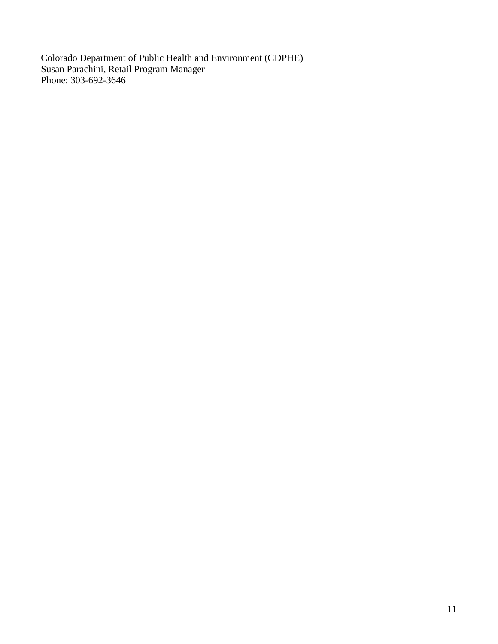Colorado Department of Public Health and Environment (CDPHE) Susan Parachini, Retail Program Manager Phone: 303-692-3646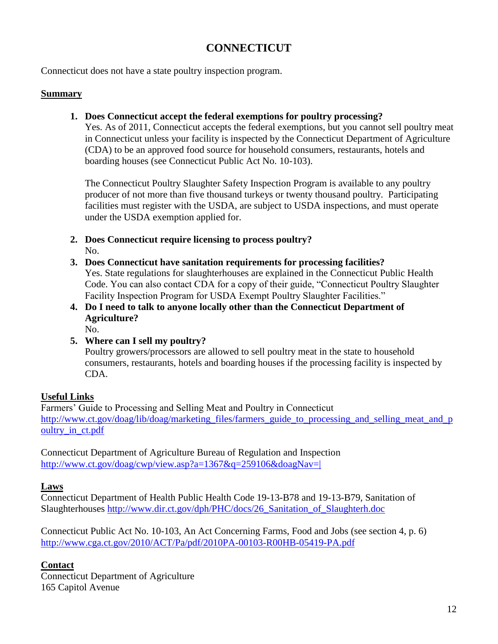# **CONNECTICUT**

Connecticut does not have a state poultry inspection program.

#### **Summary**

**1. Does Connecticut accept the federal exemptions for poultry processing?**

Yes. As of 2011, Connecticut accepts the federal exemptions, but you cannot sell poultry meat in Connecticut unless your facility is inspected by the Connecticut Department of Agriculture (CDA) to be an approved food source for household consumers, restaurants, hotels and boarding houses (see Connecticut Public Act No. 10-103).

The Connecticut Poultry Slaughter Safety Inspection Program is available to any poultry producer of not more than five thousand turkeys or twenty thousand poultry. Participating facilities must register with the USDA, are subject to USDA inspections, and must operate under the USDA exemption applied for.

- **2. Does Connecticut require licensing to process poultry?** No.
- **3. Does Connecticut have sanitation requirements for processing facilities?** Yes. State regulations for slaughterhouses are explained in the Connecticut Public Health Code. You can also contact CDA for a copy of their guide, "Connecticut Poultry Slaughter Facility Inspection Program for USDA Exempt Poultry Slaughter Facilities."
- **4. Do I need to talk to anyone locally other than the Connecticut Department of Agriculture?**

No.

**5. Where can I sell my poultry?**

Poultry growers/processors are allowed to sell poultry meat in the state to household consumers, restaurants, hotels and boarding houses if the processing facility is inspected by CDA.

### **Useful Links**

Farmers' Guide to Processing and Selling Meat and Poultry in Connecticut [http://www.ct.gov/doag/lib/doag/marketing\\_files/farmers\\_guide\\_to\\_processing\\_and\\_selling\\_meat\\_and\\_p](http://www.ct.gov/doag/lib/doag/marketing_files/farmers_guide_to_processing_and_selling_meat_and_poultry_in_ct.pdf) oultry in ct.pdf

Connecticut Department of Agriculture Bureau of Regulation and Inspection <http://www.ct.gov/doag/cwp/view.asp?a=1367&q=259106&doagNav=|>

### **Laws**

Connecticut Department of Health Public Health Code 19-13-B78 and 19-13-B79, Sanitation of Slaughterhouses [http://www.dir.ct.gov/dph/PHC/docs/26\\_Sanitation\\_of\\_Slaughterh.doc](http://www.dir.ct.gov/dph/PHC/docs/26_Sanitation_of_Slaughterh.doc) 

Connecticut Public Act No. 10-103, An Act Concerning Farms, Food and Jobs (see section 4, p. 6) <http://www.cga.ct.gov/2010/ACT/Pa/pdf/2010PA-00103-R00HB-05419-PA.pdf>

### **Contact**

Connecticut Department of Agriculture 165 Capitol Avenue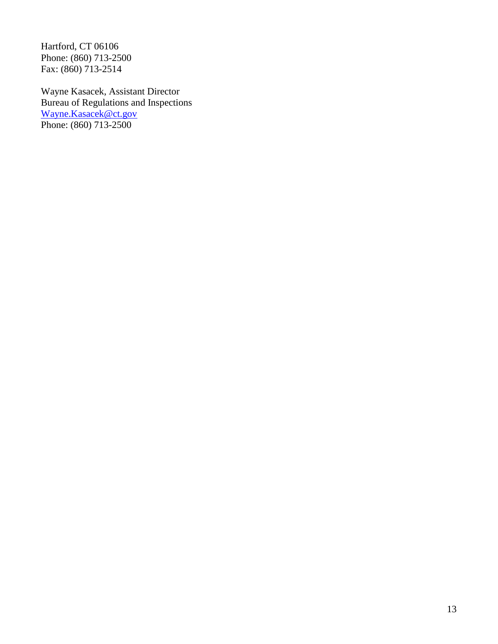Hartford, CT 06106 Phone: (860) 713-2500 Fax: (860) 713-2514

Wayne Kasacek, Assistant Director Bureau of Regulations and Inspections [Wayne.Kasacek@ct.gov](mailto:Wayne.Kasacek@ct.gov) Phone: (860) 713-2500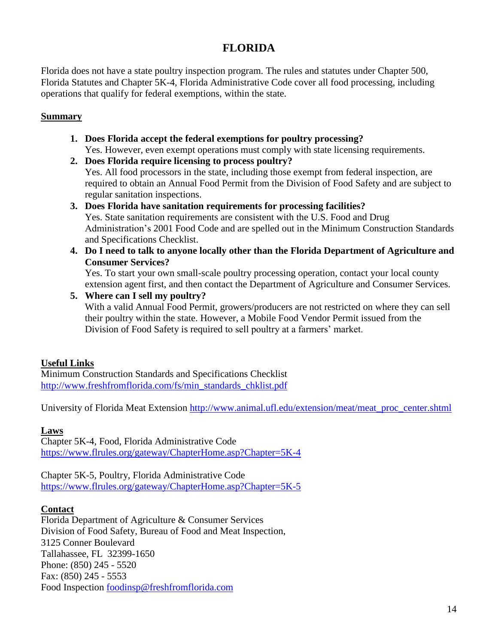# **FLORIDA**

Florida does not have a state poultry inspection program. The rules and statutes under Chapter 500, Florida Statutes and Chapter 5K-4, Florida Administrative Code cover all food processing, including operations that qualify for federal exemptions, within the state.

### **Summary**

- **1. Does Florida accept the federal exemptions for poultry processing?** Yes. However, even exempt operations must comply with state licensing requirements.
- **2. Does Florida require licensing to process poultry?** Yes. All food processors in the state, including those exempt from federal inspection, are required to obtain an Annual Food Permit from the Division of Food Safety and are subject to regular sanitation inspections.
- **3. Does Florida have sanitation requirements for processing facilities?** Yes. State sanitation requirements are consistent with the U.S. Food and Drug Administration's 2001 Food Code and are spelled out in the Minimum Construction Standards and Specifications Checklist.
- **4. Do I need to talk to anyone locally other than the Florida Department of Agriculture and Consumer Services?**

Yes. To start your own small-scale poultry processing operation, contact your local county extension agent first, and then contact the Department of Agriculture and Consumer Services.

**5. Where can I sell my poultry?**

With a valid Annual Food Permit, growers/producers are not restricted on where they can sell their poultry within the state. However, a Mobile Food Vendor Permit issued from the Division of Food Safety is required to sell poultry at a farmers' market.

### **Useful Links**

Minimum Construction Standards and Specifications Checklist [http://www.freshfromflorida.com/fs/min\\_standards\\_chklist.pdf](http://www.freshfromflorida.com/fs/min_standards_chklist.pdf)

University of Florida Meat Extension [http://www.animal.ufl.edu/extension/meat/meat\\_proc\\_center.shtml](http://www.animal.ufl.edu/extension/meat/meat_proc_center.shtml)

### **Laws**

Chapter 5K-4, Food, Florida Administrative Code <https://www.flrules.org/gateway/ChapterHome.asp?Chapter=5K-4>

Chapter 5K-5, Poultry, Florida Administrative Code <https://www.flrules.org/gateway/ChapterHome.asp?Chapter=5K-5>

#### **Contact**

Florida Department of Agriculture & Consumer Services Division of Food Safety, Bureau of Food and Meat Inspection, 3125 Conner Boulevard Tallahassee, FL 32399-1650 Phone: (850) 245 - 5520 Fax: (850) 245 - 5553 Food Inspection [foodinsp@freshfromflorida.com](mailto:foodinsp@freshfromflorida.com)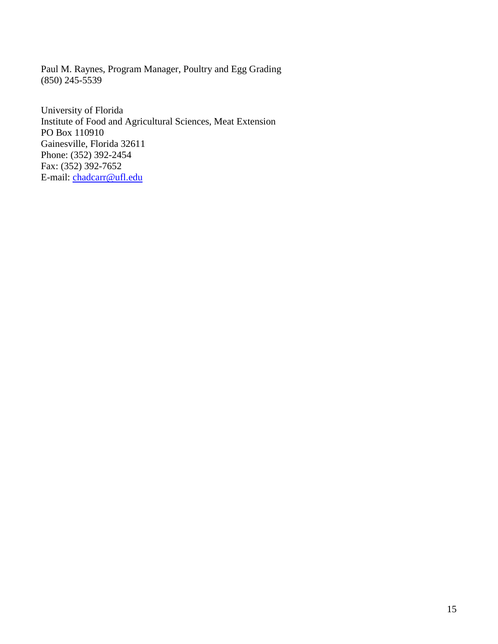Paul M. Raynes, Program Manager, Poultry and Egg Grading (850) 245-5539

University of Florida Institute of Food and Agricultural Sciences, Meat Extension PO Box 110910 Gainesville, Florida 32611 Phone: (352) 392-2454 Fax: (352) 392-7652 E-mail: [chadcarr@ufl.edu](mailto:chadcarr@ufl.edu)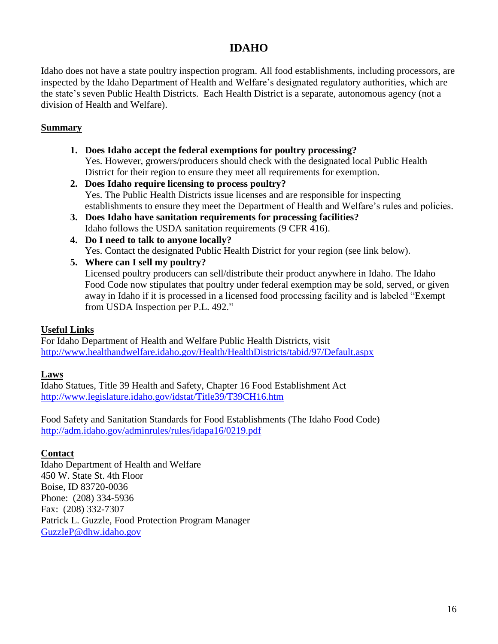# **IDAHO**

Idaho does not have a state poultry inspection program. All food establishments, including processors, are inspected by the Idaho Department of Health and Welfare's designated regulatory authorities, which are the state's seven Public Health Districts. Each Health District is a separate, autonomous agency (not a division of Health and Welfare).

# **Summary**

- **1. Does Idaho accept the federal exemptions for poultry processing?** Yes. However, growers/producers should check with the designated local Public Health District for their region to ensure they meet all requirements for exemption.
- **2. Does Idaho require licensing to process poultry?** Yes. The Public Health Districts issue licenses and are responsible for inspecting establishments to ensure they meet the Department of Health and Welfare's rules and policies.
- **3. Does Idaho have sanitation requirements for processing facilities?** Idaho follows the USDA sanitation requirements (9 CFR 416).
- **4. Do I need to talk to anyone locally?** Yes. Contact the designated Public Health District for your region (see link below).
- **5. Where can I sell my poultry?**

Licensed poultry producers can sell/distribute their product anywhere in Idaho. The Idaho Food Code now stipulates that poultry under federal exemption may be sold, served, or given away in Idaho if it is processed in a licensed food processing facility and is labeled "Exempt from USDA Inspection per P.L. 492."

# **Useful Links**

For Idaho Department of Health and Welfare Public Health Districts, visit <http://www.healthandwelfare.idaho.gov/Health/HealthDistricts/tabid/97/Default.aspx>

# **Laws**

Idaho Statues, Title 39 Health and Safety, Chapter 16 Food Establishment Act <http://www.legislature.idaho.gov/idstat/Title39/T39CH16.htm>

Food Safety and Sanitation Standards for Food Establishments (The Idaho Food Code) <http://adm.idaho.gov/adminrules/rules/idapa16/0219.pdf>

# **Contact**

Idaho Department of Health and Welfare 450 W. State St. 4th Floor Boise, ID 83720-0036 Phone: (208) 334-5936 Fax: (208) 332-7307 Patrick L. Guzzle, Food Protection Program Manager [GuzzleP@dhw.idaho.gov](mailto:GuzzleP@dhw.idaho.gov)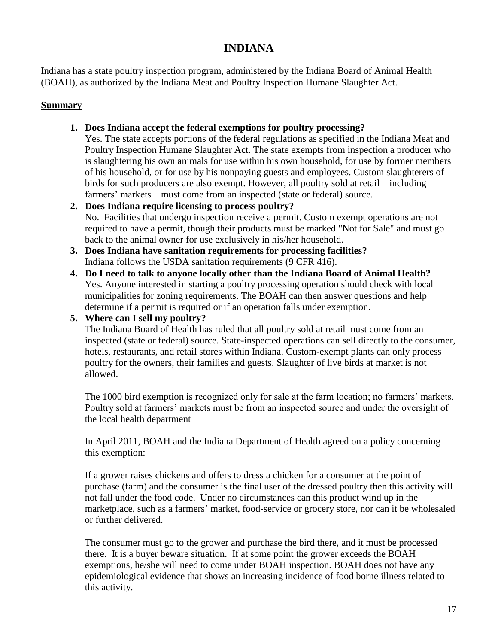# **INDIANA**

Indiana has a state poultry inspection program, administered by the Indiana Board of Animal Health (BOAH), as authorized by the Indiana Meat and Poultry Inspection Humane Slaughter Act.

# **Summary**

# **1. Does Indiana accept the federal exemptions for poultry processing?**

Yes. The state accepts portions of the federal regulations as specified in the Indiana Meat and Poultry Inspection Humane Slaughter Act. The state exempts from inspection a producer who is slaughtering his own animals for use within his own household, for use by former members of his household, or for use by his nonpaying guests and employees. Custom slaughterers of birds for such producers are also exempt. However, all poultry sold at retail – including farmers' markets – must come from an inspected (state or federal) source.

- **2. Does Indiana require licensing to process poultry?** No. Facilities that undergo inspection receive a permit. Custom exempt operations are not required to have a permit, though their products must be marked "Not for Sale" and must go back to the animal owner for use exclusively in his/her household.
- **3. Does Indiana have sanitation requirements for processing facilities?** Indiana follows the USDA sanitation requirements (9 CFR 416).
- **4. Do I need to talk to anyone locally other than the Indiana Board of Animal Health?** Yes. Anyone interested in starting a poultry processing operation should check with local municipalities for zoning requirements. The BOAH can then answer questions and help determine if a permit is required or if an operation falls under exemption.

**5. Where can I sell my poultry?**

The Indiana Board of Health has ruled that all poultry sold at retail must come from an inspected (state or federal) source. State-inspected operations can sell directly to the consumer, hotels, restaurants, and retail stores within Indiana. Custom-exempt plants can only process poultry for the owners, their families and guests. Slaughter of live birds at market is not allowed.

The 1000 bird exemption is recognized only for sale at the farm location; no farmers' markets. Poultry sold at farmers' markets must be from an inspected source and under the oversight of the local health department

In April 2011, BOAH and the Indiana Department of Health agreed on a policy concerning this exemption:

If a grower raises chickens and offers to dress a chicken for a consumer at the point of purchase (farm) and the consumer is the final user of the dressed poultry then this activity will not fall under the food code. Under no circumstances can this product wind up in the marketplace, such as a farmers' market, food-service or grocery store, nor can it be wholesaled or further delivered.

The consumer must go to the grower and purchase the bird there, and it must be processed there. It is a buyer beware situation. If at some point the grower exceeds the BOAH exemptions, he/she will need to come under BOAH inspection. BOAH does not have any epidemiological evidence that shows an increasing incidence of food borne illness related to this activity.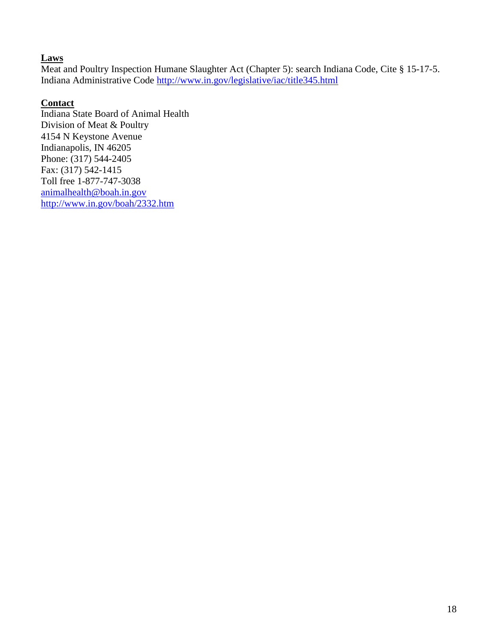### **Laws**

Meat and Poultry Inspection Humane Slaughter Act (Chapter 5): search Indiana Code, Cite § 15-17-5. Indiana Administrative Code<http://www.in.gov/legislative/iac/title345.html>

# **Contact**

Indiana State Board of Animal Health Division of Meat & Poultry 4154 N Keystone Avenue Indianapolis, IN 46205 Phone: (317) 544-2405 Fax: (317) 542-1415 Toll free 1-877-747-3038 [animalhealth@boah.in.gov](mailto:animalhealth@boah.in.gov) <http://www.in.gov/boah/2332.htm>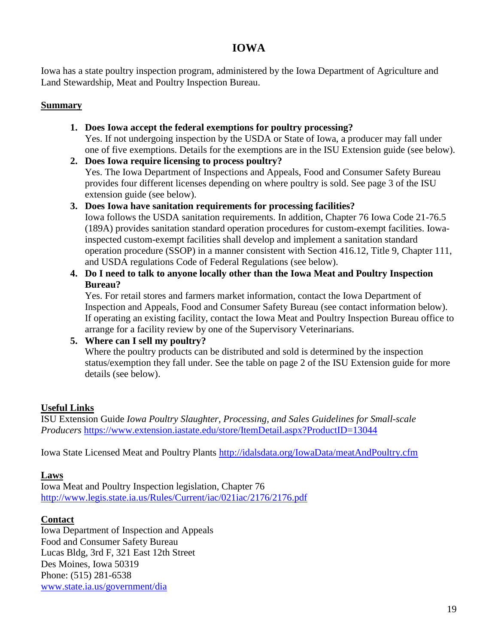# **IOWA**

Iowa has a state poultry inspection program, administered by the Iowa Department of Agriculture and Land Stewardship, Meat and Poultry Inspection Bureau.

# **Summary**

- **1. Does Iowa accept the federal exemptions for poultry processing?** Yes. If not undergoing inspection by the USDA or State of Iowa, a producer may fall under one of five exemptions. Details for the exemptions are in the ISU Extension guide (see below).
- **2. Does Iowa require licensing to process poultry?** Yes. The Iowa Department of Inspections and Appeals, Food and Consumer Safety Bureau provides four different licenses depending on where poultry is sold. See page 3 of the ISU extension guide (see below).
- **3. Does Iowa have sanitation requirements for processing facilities?** Iowa follows the USDA sanitation requirements. In addition, Chapter 76 Iowa Code 21-76.5 (189A) provides sanitation standard operation procedures for custom-exempt facilities. Iowainspected custom-exempt facilities shall develop and implement a sanitation standard operation procedure (SSOP) in a manner consistent with Section 416.12, Title 9, Chapter 111, and USDA regulations Code of Federal Regulations (see below).
- **4. Do I need to talk to anyone locally other than the Iowa Meat and Poultry Inspection Bureau?**

Yes. For retail stores and farmers market information, contact the Iowa Department of Inspection and Appeals, Food and Consumer Safety Bureau (see contact information below). If operating an existing facility, contact the Iowa Meat and Poultry Inspection Bureau office to arrange for a facility review by one of the Supervisory Veterinarians.

**5. Where can I sell my poultry?**

Where the poultry products can be distributed and sold is determined by the inspection status/exemption they fall under. See the table on page 2 of the ISU Extension guide for more details (see below).

# **Useful Links**

ISU Extension Guide *Iowa Poultry Slaughter, Processing, and Sales Guidelines for Small-scale Producers* <https://www.extension.iastate.edu/store/ItemDetail.aspx?ProductID=13044>

Iowa State Licensed Meat and Poultry Plants<http://idalsdata.org/IowaData/meatAndPoultry.cfm>

# **Laws**

Iowa Meat and Poultry Inspection legislation, Chapter 76 <http://www.legis.state.ia.us/Rules/Current/iac/021iac/2176/2176.pdf>

# **Contact**

Iowa Department of Inspection and Appeals Food and Consumer Safety Bureau Lucas Bldg, 3rd F, 321 East 12th Street Des Moines, Iowa 50319 Phone: (515) 281-6538 [www.state.ia.us/government/dia](http://www.state.ia.us/government/dia)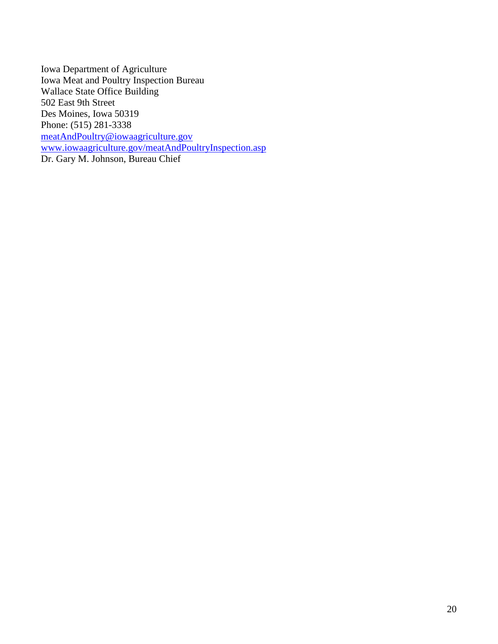Iowa Department of Agriculture Iowa Meat and Poultry Inspection Bureau Wallace State Office Building 502 East 9th Street Des Moines, Iowa 50319 Phone: (515) 281-3338 [meatAndPoultry@iowaagriculture.gov](mailto:meatAndPoultry@iowaagriculture.gov) [www.iowaagriculture.gov/meatAndPoultryInspection.asp](http://www.iowaagriculture.gov/meatAndPoultryInspection.asp) Dr. Gary M. Johnson, Bureau Chief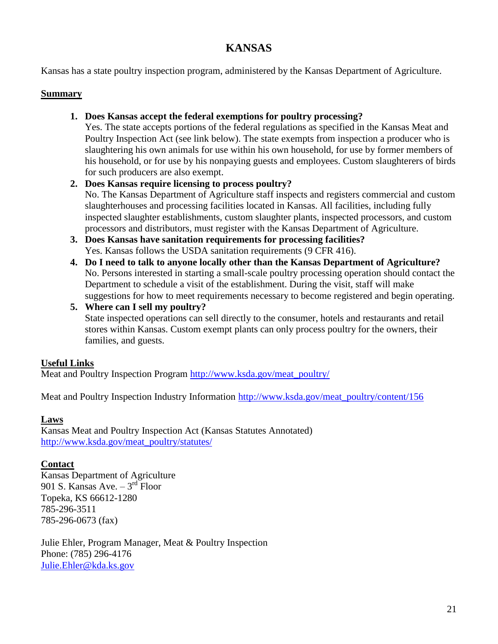# **KANSAS**

Kansas has a state poultry inspection program, administered by the Kansas Department of Agriculture.

### **Summary**

# **1. Does Kansas accept the federal exemptions for poultry processing?**

Yes. The state accepts portions of the federal regulations as specified in the Kansas Meat and Poultry Inspection Act (see link below). The state exempts from inspection a producer who is slaughtering his own animals for use within his own household, for use by former members of his household, or for use by his nonpaying guests and employees. Custom slaughterers of birds for such producers are also exempt.

# **2. Does Kansas require licensing to process poultry?**

No. The Kansas Department of Agriculture staff inspects and registers commercial and custom slaughterhouses and processing facilities located in Kansas. All facilities, including fully inspected slaughter establishments, custom slaughter plants, inspected processors, and custom processors and distributors, must register with the Kansas Department of Agriculture.

- **3. Does Kansas have sanitation requirements for processing facilities?** Yes. Kansas follows the USDA sanitation requirements (9 CFR 416).
- **4. Do I need to talk to anyone locally other than the Kansas Department of Agriculture?** No. Persons interested in starting a small-scale poultry processing operation should contact the Department to schedule a visit of the establishment. During the visit, staff will make suggestions for how to meet requirements necessary to become registered and begin operating.
- **5. Where can I sell my poultry?** State inspected operations can sell directly to the consumer, hotels and restaurants and retail stores within Kansas. Custom exempt plants can only process poultry for the owners, their families, and guests.

# **Useful Links**

Meat and Poultry Inspection Program [http://www.ksda.gov/meat\\_poultry/](http://www.ksda.gov/meat_poultry/)

Meat and Poultry Inspection Industry Information [http://www.ksda.gov/meat\\_poultry/content/156](http://www.ksda.gov/meat_poultry/content/156)

### **Laws**

Kansas Meat and Poultry Inspection Act (Kansas Statutes Annotated) [http://www.ksda.gov/meat\\_poultry/statutes/](http://www.ksda.gov/meat_poultry/statutes/)

### **Contact**

Kansas Department of Agriculture 901 S. Kansas Ave.  $-3^{rd}$  Floor Topeka, KS 66612-1280 785-296-3511 785-296-0673 (fax)

Julie Ehler, Program Manager, Meat & Poultry Inspection Phone: (785) 296-4176 [Julie.Ehler@kda.ks.gov](mailto:Julie.Ehler@kda.ks.gov)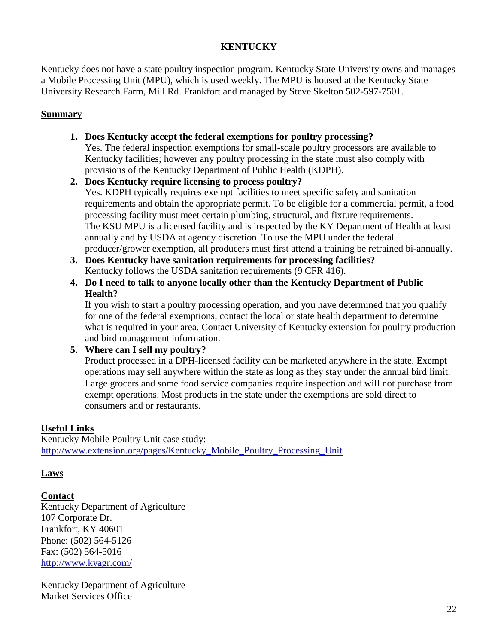# **KENTUCKY**

Kentucky does not have a state poultry inspection program. Kentucky State University owns and manages a Mobile Processing Unit (MPU), which is used weekly. The MPU is housed at the Kentucky State University Research Farm, Mill Rd. Frankfort and managed by Steve Skelton 502-597-7501.

#### **Summary**

**1. Does Kentucky accept the federal exemptions for poultry processing?**

Yes. The federal inspection exemptions for small-scale poultry processors are available to Kentucky facilities; however any poultry processing in the state must also comply with provisions of the Kentucky Department of Public Health (KDPH).

**2. Does Kentucky require licensing to process poultry?**

Yes. KDPH typically requires exempt facilities to meet specific safety and sanitation requirements and obtain the appropriate permit. To be eligible for a commercial permit, a food processing facility must meet certain plumbing, structural, and fixture requirements. The KSU MPU is a licensed facility and is inspected by the KY Department of Health at least annually and by USDA at agency discretion. To use the MPU under the federal producer/grower exemption, all producers must first attend a training be retrained bi-annually.

- **3. Does Kentucky have sanitation requirements for processing facilities?** Kentucky follows the USDA sanitation requirements (9 CFR 416).
- **4. Do I need to talk to anyone locally other than the Kentucky Department of Public Health?**

If you wish to start a poultry processing operation, and you have determined that you qualify for one of the federal exemptions, contact the local or state health department to determine what is required in your area. Contact University of Kentucky extension for poultry production and bird management information.

#### **5. Where can I sell my poultry?**

Product processed in a DPH-licensed facility can be marketed anywhere in the state. Exempt operations may sell anywhere within the state as long as they stay under the annual bird limit. Large grocers and some food service companies require inspection and will not purchase from exempt operations. Most products in the state under the exemptions are sold direct to consumers and or restaurants.

### **Useful Links**

Kentucky Mobile Poultry Unit case study: [http://www.extension.org/pages/Kentucky\\_Mobile\\_Poultry\\_Processing\\_Unit](http://www.extension.org/pages/Kentucky_Mobile_Poultry_Processing_Unit)

### **Laws**

**Contact**

Kentucky Department of Agriculture 107 Corporate Dr. Frankfort, KY 40601 Phone: (502) 564-5126 Fax: (502) 564-5016 <http://www.kyagr.com/>

Kentucky Department of Agriculture Market Services Office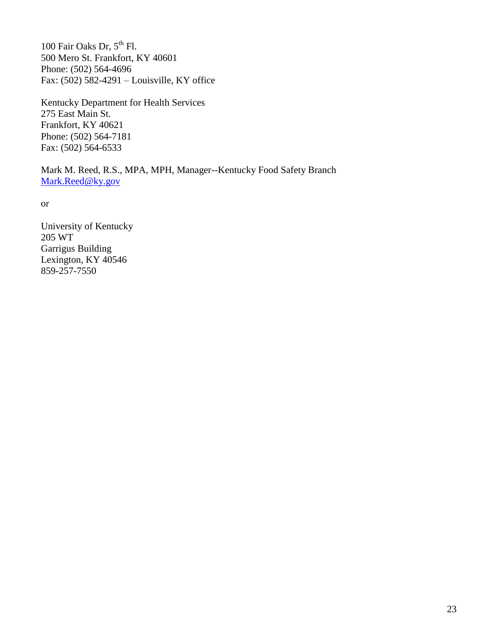100 Fair Oaks Dr,  $5^{th}$  Fl. 500 Mero St. Frankfort, KY 40601 Phone: (502) 564-4696 Fax: (502) 582-4291 – Louisville, KY office

Kentucky Department for Health Services 275 East Main St. Frankfort, KY 40621 Phone: (502) 564-7181 Fax: (502) 564-6533

Mark M. Reed, R.S., MPA, MPH, Manager--Kentucky Food Safety Branch [Mark.Reed@ky.gov](mailto:Mark.Reed@ky.gov)

or

University of Kentucky 205 WT Garrigus Building Lexington, KY 40546 859-257-7550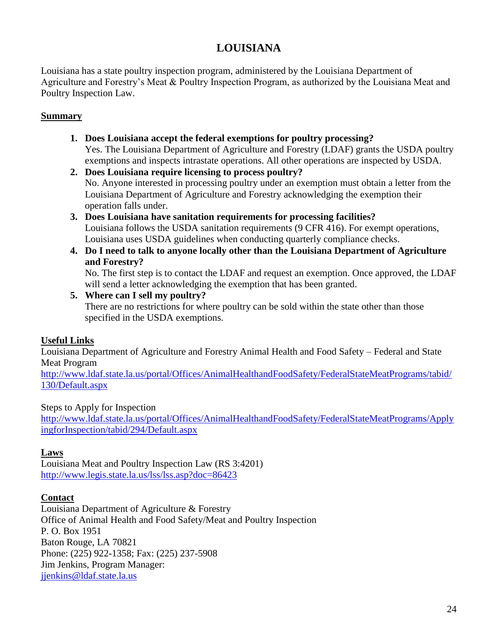# **LOUISIANA**

Louisiana has a state poultry inspection program, administered by the Louisiana Department of Agriculture and Forestry's Meat & Poultry Inspection Program, as authorized by the Louisiana Meat and Poultry Inspection Law.

### **Summary**

- **1. Does Louisiana accept the federal exemptions for poultry processing?** Yes. The Louisiana Department of Agriculture and Forestry (LDAF) grants the USDA poultry exemptions and inspects intrastate operations. All other operations are inspected by USDA.
- **2. Does Louisiana require licensing to process poultry?** No. Anyone interested in processing poultry under an exemption must obtain a letter from the Louisiana Department of Agriculture and Forestry acknowledging the exemption their operation falls under.
- **3. Does Louisiana have sanitation requirements for processing facilities?** Louisiana follows the USDA sanitation requirements (9 CFR 416). For exempt operations, Louisiana uses USDA guidelines when conducting quarterly compliance checks.
- **4. Do I need to talk to anyone locally other than the Louisiana Department of Agriculture and Forestry?**

No. The first step is to contact the LDAF and request an exemption. Once approved, the LDAF will send a letter acknowledging the exemption that has been granted.

# **5. Where can I sell my poultry?**

There are no restrictions for where poultry can be sold within the state other than those specified in the USDA exemptions.

# **Useful Links**

Louisiana Department of Agriculture and Forestry Animal Health and Food Safety – Federal and State Meat Program

[http://www.ldaf.state.la.us/portal/Offices/AnimalHealthandFoodSafety/FederalStateMeatPrograms/tabid/](http://www.ldaf.state.la.us/portal/Offices/AnimalHealthandFoodSafety/FederalStateMeatPrograms/tabid/130/Default.aspx) [130/Default.aspx](http://www.ldaf.state.la.us/portal/Offices/AnimalHealthandFoodSafety/FederalStateMeatPrograms/tabid/130/Default.aspx)

# Steps to Apply for Inspection

[http://www.ldaf.state.la.us/portal/Offices/AnimalHealthandFoodSafety/FederalStateMeatPrograms/Apply](http://www.ldaf.state.la.us/portal/Offices/AnimalHealthandFoodSafety/FederalStateMeatPrograms/ApplyingforInspection/tabid/294/Default.aspx) [ingforInspection/tabid/294/Default.aspx](http://www.ldaf.state.la.us/portal/Offices/AnimalHealthandFoodSafety/FederalStateMeatPrograms/ApplyingforInspection/tabid/294/Default.aspx)

# **Laws**

Louisiana Meat and Poultry Inspection Law (RS 3:4201) <http://www.legis.state.la.us/lss/lss.asp?doc=86423>

### **Contact**

Louisiana Department of Agriculture & Forestry Office of Animal Health and Food Safety/Meat and Poultry Inspection P. O. Box 1951 Baton Rouge, LA 70821 Phone: (225) 922-1358; Fax: (225) 237-5908 Jim Jenkins, Program Manager: [jjenkins@ldaf.state.la.us](mailto:jjenkins@ldaf.state.la.us)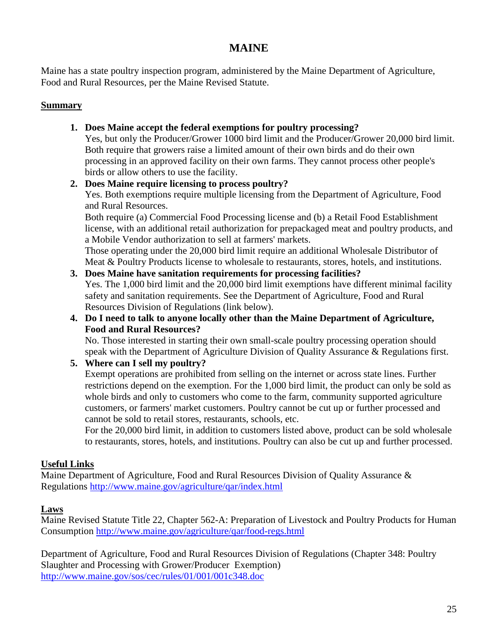# **MAINE**

Maine has a state poultry inspection program, administered by the Maine Department of Agriculture, Food and Rural Resources, per the Maine Revised Statute.

### **Summary**

# **1. Does Maine accept the federal exemptions for poultry processing?**

Yes, but only the Producer/Grower 1000 bird limit and the Producer/Grower 20,000 bird limit. Both require that growers raise a limited amount of their own birds and do their own processing in an approved facility on their own farms. They cannot process other people's birds or allow others to use the facility.

# **2. Does Maine require licensing to process poultry?** Yes. Both exemptions require multiple licensing from the Department of Agriculture, Food and Rural Resources.

Both require (a) Commercial Food Processing license and (b) a Retail Food Establishment license, with an additional retail authorization for prepackaged meat and poultry products, and a Mobile Vendor authorization to sell at farmers' markets.

Those operating under the 20,000 bird limit require an additional Wholesale Distributor of Meat & Poultry Products license to wholesale to restaurants, stores, hotels, and institutions.

#### **3. Does Maine have sanitation requirements for processing facilities?** Yes. The 1,000 bird limit and the 20,000 bird limit exemptions have different minimal facility safety and sanitation requirements. See the Department of Agriculture, Food and Rural Resources Division of Regulations (link below).

# **4. Do I need to talk to anyone locally other than the Maine Department of Agriculture, Food and Rural Resources?**

No. Those interested in starting their own small-scale poultry processing operation should speak with the Department of Agriculture Division of Quality Assurance & Regulations first.

# **5. Where can I sell my poultry?**

Exempt operations are prohibited from selling on the internet or across state lines. Further restrictions depend on the exemption. For the 1,000 bird limit, the product can only be sold as whole birds and only to customers who come to the farm, community supported agriculture customers, or farmers' market customers. Poultry cannot be cut up or further processed and cannot be sold to retail stores, restaurants, schools, etc.

For the 20,000 bird limit, in addition to customers listed above, product can be sold wholesale to restaurants, stores, hotels, and institutions. Poultry can also be cut up and further processed.

# **Useful Links**

Maine Department of Agriculture, Food and Rural Resources Division of Quality Assurance & Regulations<http://www.maine.gov/agriculture/qar/index.html>

# **Laws**

Maine Revised Statute Title 22, Chapter 562-A: Preparation of Livestock and Poultry Products for Human Consumption <http://www.maine.gov/agriculture/qar/food-regs.html>

Department of Agriculture, Food and Rural Resources Division of Regulations (Chapter 348: Poultry Slaughter and Processing with Grower/Producer Exemption) <http://www.maine.gov/sos/cec/rules/01/001/001c348.doc>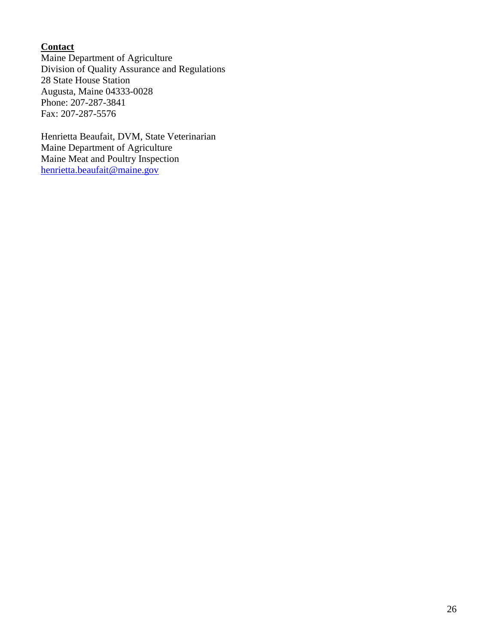# **Contact**

Maine Department of Agriculture Division of Quality Assurance and Regulations 28 State House Station Augusta, Maine 04333-0028 Phone: 207-287-3841 Fax: 207-287-5576

Henrietta Beaufait, DVM, State Veterinarian Maine Department of Agriculture Maine Meat and Poultry Inspection [henrietta.beaufait@maine.gov](mailto:henrietta.beaufait@maine.gov)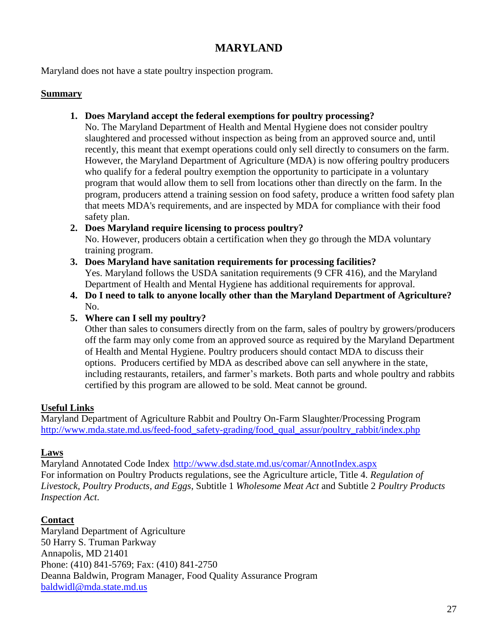# **MARYLAND**

Maryland does not have a state poultry inspection program.

#### **Summary**

**1. Does Maryland accept the federal exemptions for poultry processing?**

No. The Maryland Department of Health and Mental Hygiene does not consider poultry slaughtered and processed without inspection as being from an approved source and, until recently, this meant that exempt operations could only sell directly to consumers on the farm. However, the Maryland Department of Agriculture (MDA) is now offering poultry producers who qualify for a federal poultry exemption the opportunity to participate in a voluntary program that would allow them to sell from locations other than directly on the farm. In the program, producers attend a training session on food safety, produce a written food safety plan that meets MDA's requirements, and are inspected by MDA for compliance with their food safety plan.

#### **2. Does Maryland require licensing to process poultry?**

No. However, producers obtain a certification when they go through the MDA voluntary training program.

- **3. Does Maryland have sanitation requirements for processing facilities?** Yes. Maryland follows the USDA sanitation requirements (9 CFR 416), and the Maryland Department of Health and Mental Hygiene has additional requirements for approval.
- **4. Do I need to talk to anyone locally other than the Maryland Department of Agriculture?** No.

### **5. Where can I sell my poultry?**

Other than sales to consumers directly from on the farm, sales of poultry by growers/producers off the farm may only come from an approved source as required by the Maryland Department of Health and Mental Hygiene. Poultry producers should contact MDA to discuss their options. Producers certified by MDA as described above can sell anywhere in the state, including restaurants, retailers, and farmer's markets. Both parts and whole poultry and rabbits certified by this program are allowed to be sold. Meat cannot be ground.

### **Useful Links**

Maryland Department of Agriculture Rabbit and Poultry On-Farm Slaughter/Processing Program [http://www.mda.state.md.us/feed-food\\_safety-grading/food\\_qual\\_assur/poultry\\_rabbit/index.php](http://www.mda.state.md.us/feed-food_safety-grading/food_qual_assur/poultry_rabbit/index.php)

### **Laws**

Maryland Annotated Code Index <http://www.dsd.state.md.us/comar/AnnotIndex.aspx> For information on Poultry Products regulations, see the Agriculture article, Title 4. *Regulation of Livestock, Poultry Products, and Eggs*, Subtitle 1 *Wholesome Meat Act* and Subtitle 2 *Poultry Products Inspection Act*.

### **Contact**

Maryland Department of Agriculture 50 Harry S. Truman Parkway Annapolis, MD 21401 Phone: (410) 841-5769; Fax: (410) 841-2750 Deanna Baldwin, Program Manager, Food Quality Assurance Program [baldwidl@mda.state.md.us](mailto:baldwidl@mda.state.md.us)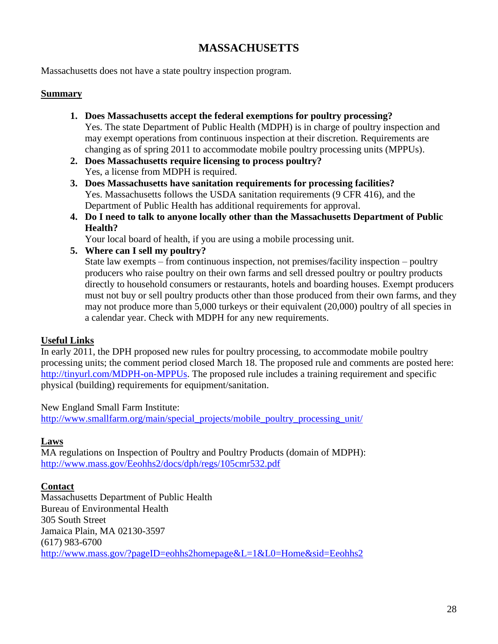# **MASSACHUSETTS**

Massachusetts does not have a state poultry inspection program.

#### **Summary**

- **1. Does Massachusetts accept the federal exemptions for poultry processing?** Yes. The state Department of Public Health (MDPH) is in charge of poultry inspection and may exempt operations from continuous inspection at their discretion. Requirements are changing as of spring 2011 to accommodate mobile poultry processing units (MPPUs).
- **2. Does Massachusetts require licensing to process poultry?** Yes, a license from MDPH is required.

**3. Does Massachusetts have sanitation requirements for processing facilities?** Yes. Massachusetts follows the USDA sanitation requirements (9 CFR 416), and the Department of Public Health has additional requirements for approval.

**4. Do I need to talk to anyone locally other than the Massachusetts Department of Public Health?**

Your local board of health, if you are using a mobile processing unit.

**5. Where can I sell my poultry?**

State law exempts – from continuous inspection, not premises/facility inspection – poultry producers who raise poultry on their own farms and sell dressed poultry or poultry products directly to household consumers or restaurants, hotels and boarding houses. Exempt producers must not buy or sell poultry products other than those produced from their own farms, and they may not produce more than 5,000 turkeys or their equivalent (20,000) poultry of all species in a calendar year. Check with MDPH for any new requirements.

### **Useful Links**

In early 2011, the DPH proposed new rules for poultry processing, to accommodate mobile poultry processing units; the comment period closed March 18. The proposed rule and comments are posted here: [http://tinyurl.com/MDPH-on-MPPUs.](http://tinyurl.com/MDPH-on-MPPUs) The proposed rule includes a training requirement and specific physical (building) requirements for equipment/sanitation.

### New England Small Farm Institute:

[http://www.smallfarm.org/main/special\\_projects/mobile\\_poultry\\_processing\\_unit/](http://www.smallfarm.org/main/special_projects/mobile_poultry_processing_unit/)

### **Laws**

MA regulations on Inspection of Poultry and Poultry Products (domain of MDPH): <http://www.mass.gov/Eeohhs2/docs/dph/regs/105cmr532.pdf>

#### **Contact**

Massachusetts Department of Public Health Bureau of Environmental Health 305 South Street Jamaica Plain, MA 02130-3597 (617) 983-6700 <http://www.mass.gov/?pageID=eohhs2homepage&L=1&L0=Home&sid=Eeohhs2>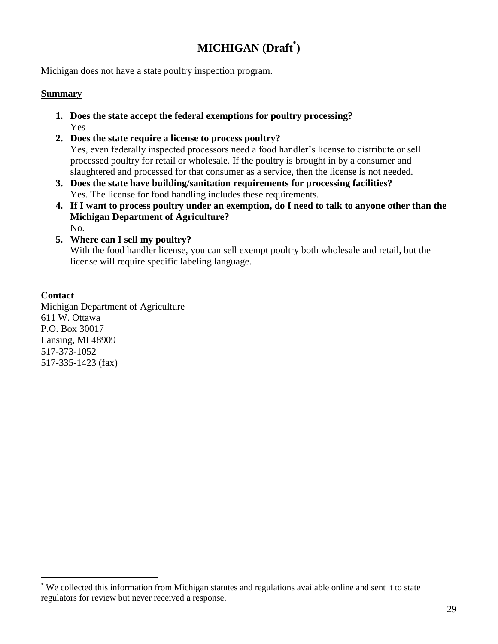# **MICHIGAN (Draft\* )**

Michigan does not have a state poultry inspection program.

#### **Summary**

- **1. Does the state accept the federal exemptions for poultry processing?** Yes
- **2. Does the state require a license to process poultry?**  Yes, even federally inspected processors need a food handler's license to distribute or sell processed poultry for retail or wholesale. If the poultry is brought in by a consumer and slaughtered and processed for that consumer as a service, then the license is not needed.
- **3. Does the state have building/sanitation requirements for processing facilities?**  Yes. The license for food handling includes these requirements.
- **4. If I want to process poultry under an exemption, do I need to talk to anyone other than the Michigan Department of Agriculture?**  No.
- **5. Where can I sell my poultry?** With the food handler license, you can sell exempt poultry both wholesale and retail, but the license will require specific labeling language.

#### **Contact**

 $\overline{a}$ 

Michigan Department of Agriculture 611 W. Ottawa P.O. Box 30017 Lansing, MI 48909 517-373-1052 517-335-1423 (fax)

<sup>\*</sup> We collected this information from Michigan statutes and regulations available online and sent it to state regulators for review but never received a response.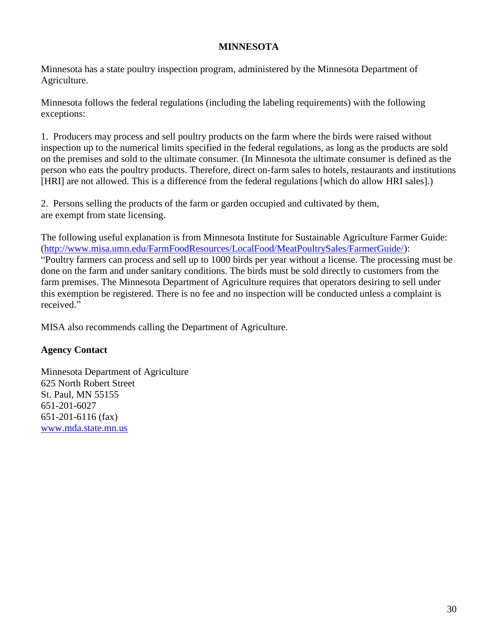### **MINNESOTA**

Minnesota has a state poultry inspection program, administered by the Minnesota Department of Agriculture.

Minnesota follows the federal regulations (including the labeling requirements) with the following exceptions:

1. Producers may process and sell poultry products on the farm where the birds were raised without inspection up to the numerical limits specified in the federal regulations, as long as the products are sold on the premises and sold to the ultimate consumer. (In Minnesota the ultimate consumer is defined as the person who eats the poultry products. Therefore, direct on-farm sales to hotels, restaurants and institutions [HRI] are not allowed. This is a difference from the federal regulations [which do allow HRI sales].)

2. Persons selling the products of the farm or garden occupied and cultivated by them, are exempt from state licensing.

The following useful explanation is from Minnesota Institute for Sustainable Agriculture Farmer Guide: [\(http://www.misa.umn.edu/FarmFoodResources/LocalFood/MeatPoultrySales/FarmerGuide/\)](http://www.misa.umn.edu/FarmFoodResources/LocalFood/MeatPoultrySales/FarmerGuide/): "Poultry farmers can process and sell up to 1000 birds per year without a license. The processing must be done on the farm and under sanitary conditions. The birds must be sold directly to customers from the farm premises. The Minnesota Department of Agriculture requires that operators desiring to sell under this exemption be registered. There is no fee and no inspection will be conducted unless a complaint is received."

MISA also recommends calling the Department of Agriculture.

### **Agency Contact**

Minnesota Department of Agriculture 625 North Robert Street St. Paul, MN 55155 651-201-6027 651-201-6116 (fax) [www.mda.state.mn.us](http://www.mda.state.mn.us/)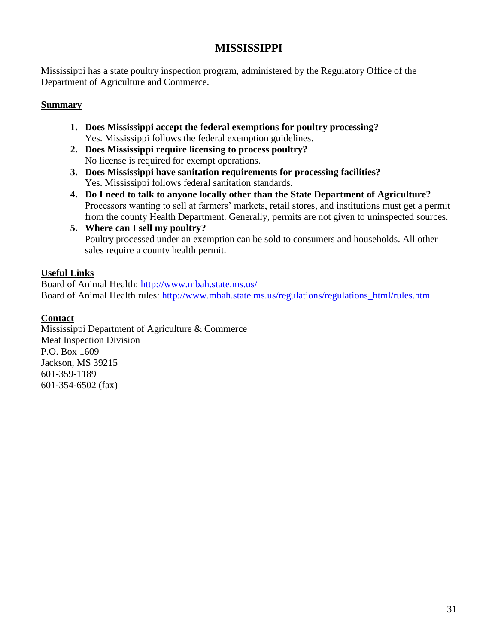# **MISSISSIPPI**

Mississippi has a state poultry inspection program, administered by the Regulatory Office of the Department of Agriculture and Commerce.

### **Summary**

- **1. Does Mississippi accept the federal exemptions for poultry processing?** Yes. Mississippi follows the federal exemption guidelines.
- **2. Does Mississippi require licensing to process poultry?** No license is required for exempt operations.
- **3. Does Mississippi have sanitation requirements for processing facilities?** Yes. Mississippi follows federal sanitation standards.
- **4. Do I need to talk to anyone locally other than the State Department of Agriculture?** Processors wanting to sell at farmers' markets, retail stores, and institutions must get a permit from the county Health Department. Generally, permits are not given to uninspected sources.
- **5. Where can I sell my poultry?** Poultry processed under an exemption can be sold to consumers and households. All other sales require a county health permit.

# **Useful Links**

Board of Animal Health:<http://www.mbah.state.ms.us/> Board of Animal Health rules: [http://www.mbah.state.ms.us/regulations/regulations\\_html/rules.htm](http://www.mbah.state.ms.us/regulations/regulations_html/rules.htm)

# **Contact**

Mississippi Department of Agriculture & Commerce Meat Inspection Division P.O. Box 1609 Jackson, MS 39215 601-359-1189 601-354-6502 (fax)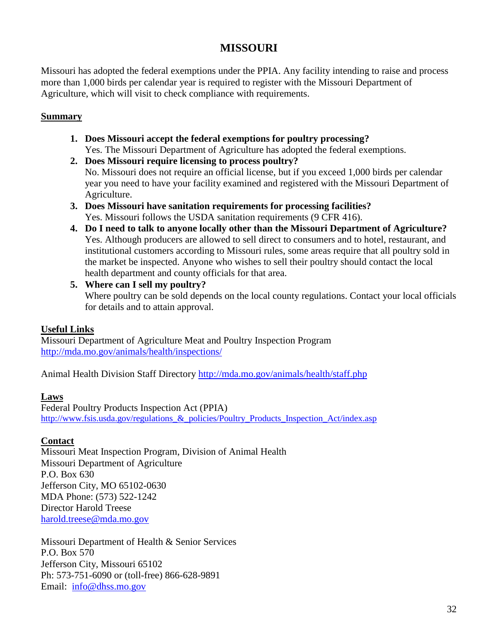# **MISSOURI**

Missouri has adopted the federal exemptions under the PPIA. Any facility intending to raise and process more than 1,000 birds per calendar year is required to register with the Missouri Department of Agriculture, which will visit to check compliance with requirements.

#### **Summary**

- **1. Does Missouri accept the federal exemptions for poultry processing?** Yes. The Missouri Department of Agriculture has adopted the federal exemptions.
- **2. Does Missouri require licensing to process poultry?** No. Missouri does not require an official license, but if you exceed 1,000 birds per calendar year you need to have your facility examined and registered with the Missouri Department of Agriculture.
- **3. Does Missouri have sanitation requirements for processing facilities?** Yes. Missouri follows the USDA sanitation requirements (9 CFR 416).
- **4. Do I need to talk to anyone locally other than the Missouri Department of Agriculture?** Yes. Although producers are allowed to sell direct to consumers and to hotel, restaurant, and institutional customers according to Missouri rules, some areas require that all poultry sold in the market be inspected. Anyone who wishes to sell their poultry should contact the local health department and county officials for that area.
- **5. Where can I sell my poultry?** Where poultry can be sold depends on the local county regulations. Contact your local officials for details and to attain approval.

### **Useful Links**

Missouri Department of Agriculture Meat and Poultry Inspection Program <http://mda.mo.gov/animals/health/inspections/>

Animal Health Division Staff Directory<http://mda.mo.gov/animals/health/staff.php>

### **Laws**

Federal Poultry Products Inspection Act (PPIA) [http://www.fsis.usda.gov/regulations\\_&\\_policies/Poultry\\_Products\\_Inspection\\_Act/index.asp](http://www.fsis.usda.gov/regulations_&_policies/Poultry_Products_Inspection_Act/index.asp)

### **Contact**

Missouri Meat Inspection Program, Division of Animal Health Missouri Department of Agriculture P.O. Box 630 Jefferson City, MO 65102-0630 MDA Phone: (573) 522-1242 Director Harold Treese [harold.treese@mda.mo.gov](mailto:harold.treese@mda.mo.gov)

Missouri Department of Health & Senior Services P.O. Box 570 Jefferson City, Missouri 65102 Ph: 573-751-6090 or (toll-free) 866-628-9891 Email: [info@dhss.mo.gov](http://www.dhss.mo.gov/AskUs.html)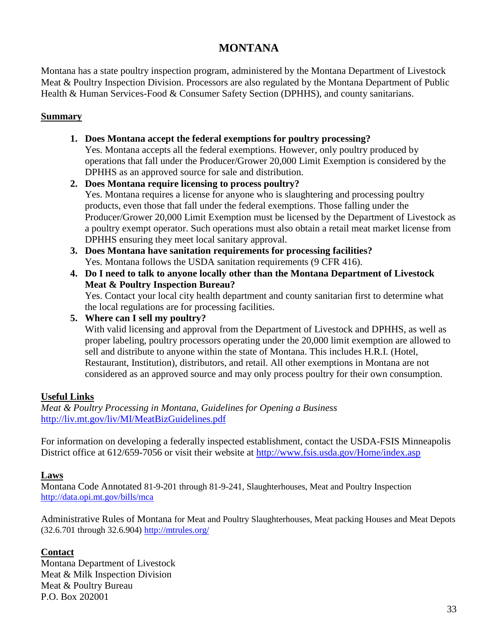# **MONTANA**

Montana has a state poultry inspection program, administered by the Montana Department of Livestock Meat & Poultry Inspection Division. Processors are also regulated by the Montana Department of Public Health & Human Services-Food & Consumer Safety Section (DPHHS), and county sanitarians.

### **Summary**

- **1. Does Montana accept the federal exemptions for poultry processing?** Yes. Montana accepts all the federal exemptions. However, only poultry produced by operations that fall under the Producer/Grower 20,000 Limit Exemption is considered by the DPHHS as an approved source for sale and distribution.
- **2. Does Montana require licensing to process poultry?** Yes. Montana requires a license for anyone who is slaughtering and processing poultry products, even those that fall under the federal exemptions. Those falling under the Producer/Grower 20,000 Limit Exemption must be licensed by the Department of Livestock as a poultry exempt operator. Such operations must also obtain a retail meat market license from DPHHS ensuring they meet local sanitary approval.
- **3. Does Montana have sanitation requirements for processing facilities?** Yes. Montana follows the USDA sanitation requirements (9 CFR 416).
- **4. Do I need to talk to anyone locally other than the Montana Department of Livestock Meat & Poultry Inspection Bureau?**

Yes. Contact your local city health department and county sanitarian first to determine what the local regulations are for processing facilities.

**5. Where can I sell my poultry?**

With valid licensing and approval from the Department of Livestock and DPHHS, as well as proper labeling, poultry processors operating under the 20,000 limit exemption are allowed to sell and distribute to anyone within the state of Montana. This includes H.R.I. (Hotel, Restaurant, Institution), distributors, and retail. All other exemptions in Montana are not considered as an approved source and may only process poultry for their own consumption.

# **Useful Links**

*Meat & Poultry Processing in Montana, Guidelines for Opening a Business* <http://liv.mt.gov/liv/MI/MeatBizGuidelines.pdf>

For information on developing a federally inspected establishment, contact the USDA-FSIS Minneapolis District office at 612/659-7056 or visit their website at<http://www.fsis.usda.gov/Home/index.asp>

# **Laws**

Montana Code Annotated 81-9-201 through 81-9-241, Slaughterhouses, Meat and Poultry Inspection <http://data.opi.mt.gov/bills/mca>

Administrative Rules of Montana for Meat and Poultry Slaughterhouses, Meat packing Houses and Meat Depots (32.6.701 through 32.6.904) <http://mtrules.org/>

# **Contact**

Montana Department of Livestock Meat & Milk Inspection Division Meat & Poultry Bureau P.O. Box 202001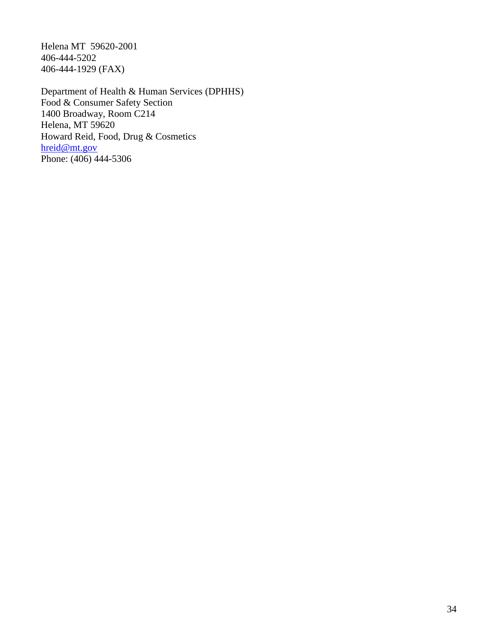Helena MT 59620-2001 406-444-5202 406-444-1929 (FAX)

Department of Health & Human Services (DPHHS) Food & Consumer Safety Section 1400 Broadway, Room C214 Helena, MT 59620 Howard Reid, Food, Drug & Cosmetics [hreid@mt.gov](mailto:hreid@mt.gov) Phone: (406) 444-5306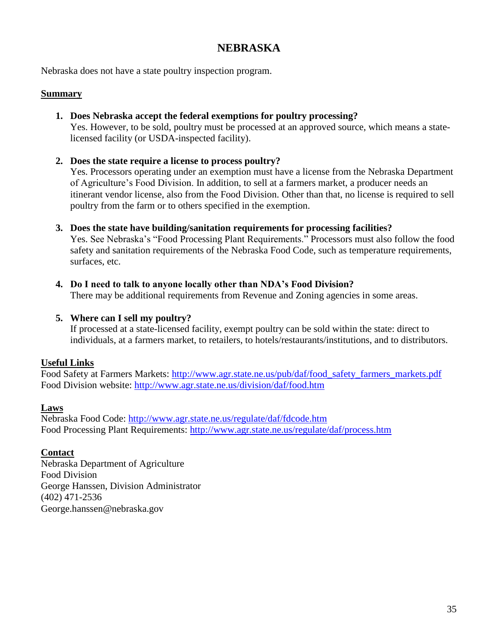# **NEBRASKA**

Nebraska does not have a state poultry inspection program.

#### **Summary**

**1. Does Nebraska accept the federal exemptions for poultry processing?**

Yes. However, to be sold, poultry must be processed at an approved source, which means a statelicensed facility (or USDA-inspected facility).

**2. Does the state require a license to process poultry?**

Yes. Processors operating under an exemption must have a license from the Nebraska Department of Agriculture's Food Division. In addition, to sell at a farmers market, a producer needs an itinerant vendor license, also from the Food Division. Other than that, no license is required to sell poultry from the farm or to others specified in the exemption.

**3. Does the state have building/sanitation requirements for processing facilities?** 

Yes. See Nebraska's "Food Processing Plant Requirements." Processors must also follow the food safety and sanitation requirements of the Nebraska Food Code, such as temperature requirements, surfaces, etc.

**4. Do I need to talk to anyone locally other than NDA's Food Division?** There may be additional requirements from Revenue and Zoning agencies in some areas.

#### **5. Where can I sell my poultry?**

If processed at a state-licensed facility, exempt poultry can be sold within the state: direct to individuals, at a farmers market, to retailers, to hotels/restaurants/institutions, and to distributors.

### **Useful Links**

Food Safety at Farmers Markets: [http://www.agr.state.ne.us/pub/daf/food\\_safety\\_farmers\\_markets.pdf](http://www.agr.state.ne.us/pub/daf/food_safety_farmers_markets.pdf) Food Division website:<http://www.agr.state.ne.us/division/daf/food.htm>

#### **Laws**

Nebraska Food Code:<http://www.agr.state.ne.us/regulate/daf/fdcode.htm> Food Processing Plant Requirements:<http://www.agr.state.ne.us/regulate/daf/process.htm>

### **Contact**

Nebraska Department of Agriculture Food Division George Hanssen, Division Administrator (402) 471-2536 George.hanssen@nebraska.gov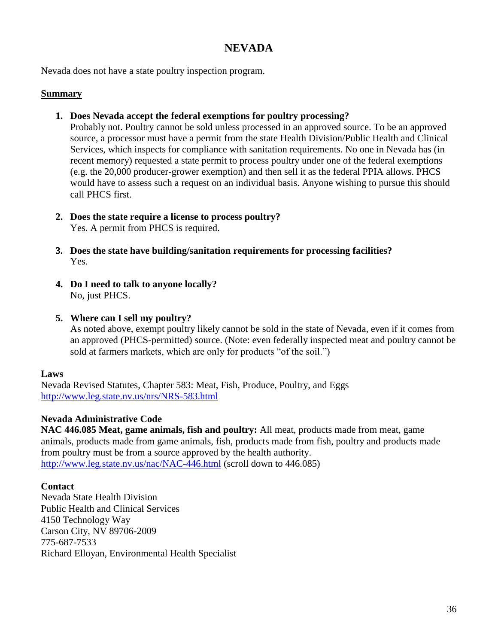# **NEVADA**

Nevada does not have a state poultry inspection program.

#### **Summary**

**1. Does Nevada accept the federal exemptions for poultry processing?**

Probably not. Poultry cannot be sold unless processed in an approved source. To be an approved source, a processor must have a permit from the state Health Division/Public Health and Clinical Services, which inspects for compliance with sanitation requirements. No one in Nevada has (in recent memory) requested a state permit to process poultry under one of the federal exemptions (e.g. the 20,000 producer-grower exemption) and then sell it as the federal PPIA allows. PHCS would have to assess such a request on an individual basis. Anyone wishing to pursue this should call PHCS first.

- **2. Does the state require a license to process poultry?** Yes. A permit from PHCS is required.
- **3. Does the state have building/sanitation requirements for processing facilities?**  Yes.
- **4. Do I need to talk to anyone locally?** No, just PHCS.
- **5. Where can I sell my poultry?**

As noted above, exempt poultry likely cannot be sold in the state of Nevada, even if it comes from an approved (PHCS-permitted) source. (Note: even federally inspected meat and poultry cannot be sold at farmers markets, which are only for products "of the soil.")

### **Laws**

Nevada Revised Statutes, Chapter 583: Meat, Fish, Produce, Poultry, and Eggs <http://www.leg.state.nv.us/nrs/NRS-583.html>

### **Nevada Administrative Code**

**NAC 446.085 Meat, game animals, fish and poultry:** All meat, products made from meat, game animals, products made from game animals, fish, products made from fish, poultry and products made from poultry must be from a source approved by the health authority. <http://www.leg.state.nv.us/nac/NAC-446.html> (scroll down to 446.085)

### **Contact**

Nevada State Health Division Public Health and Clinical Services 4150 Technology Way Carson City, NV 89706-2009 775-687-7533 Richard Elloyan, Environmental Health Specialist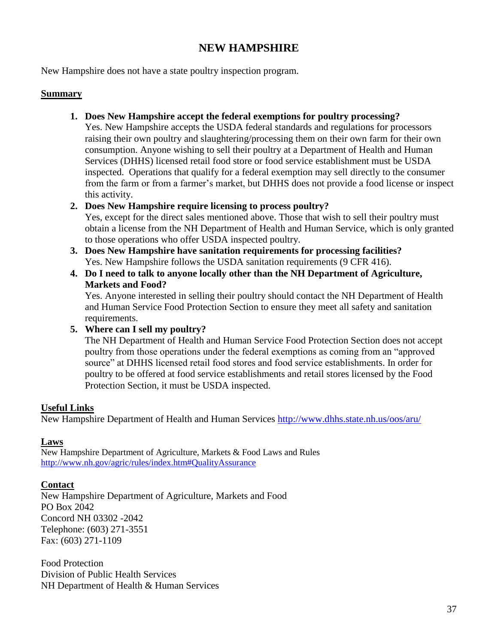# **NEW HAMPSHIRE**

New Hampshire does not have a state poultry inspection program.

#### **Summary**

**1. Does New Hampshire accept the federal exemptions for poultry processing?**

Yes. New Hampshire accepts the USDA federal standards and regulations for processors raising their own poultry and slaughtering/processing them on their own farm for their own consumption. Anyone wishing to sell their poultry at a Department of Health and Human Services (DHHS) licensed retail food store or food service establishment must be USDA inspected. Operations that qualify for a federal exemption may sell directly to the consumer from the farm or from a farmer's market, but DHHS does not provide a food license or inspect this activity.

### **2. Does New Hampshire require licensing to process poultry?**

Yes, except for the direct sales mentioned above. Those that wish to sell their poultry must obtain a license from the NH Department of Health and Human Service, which is only granted to those operations who offer USDA inspected poultry.

- **3. Does New Hampshire have sanitation requirements for processing facilities?** Yes. New Hampshire follows the USDA sanitation requirements (9 CFR 416).
- **4. Do I need to talk to anyone locally other than the NH Department of Agriculture, Markets and Food?**

Yes. Anyone interested in selling their poultry should contact the NH Department of Health and Human Service Food Protection Section to ensure they meet all safety and sanitation requirements.

### **5. Where can I sell my poultry?**

The NH Department of Health and Human Service Food Protection Section does not accept poultry from those operations under the federal exemptions as coming from an "approved source" at DHHS licensed retail food stores and food service establishments. In order for poultry to be offered at food service establishments and retail stores licensed by the Food Protection Section, it must be USDA inspected.

### **Useful Links**

New Hampshire Department of Health and Human Services<http://www.dhhs.state.nh.us/oos/aru/>

#### **Laws**

New Hampshire Department of Agriculture, Markets & Food Laws and Rules <http://www.nh.gov/agric/rules/index.htm#QualityAssurance>

#### **Contact**

New Hampshire Department of Agriculture, Markets and Food PO Box 2042 Concord NH 03302 -2042 Telephone: (603) 271-3551 Fax: (603) 271-1109

Food Protection Division of Public Health Services NH Department of Health & Human Services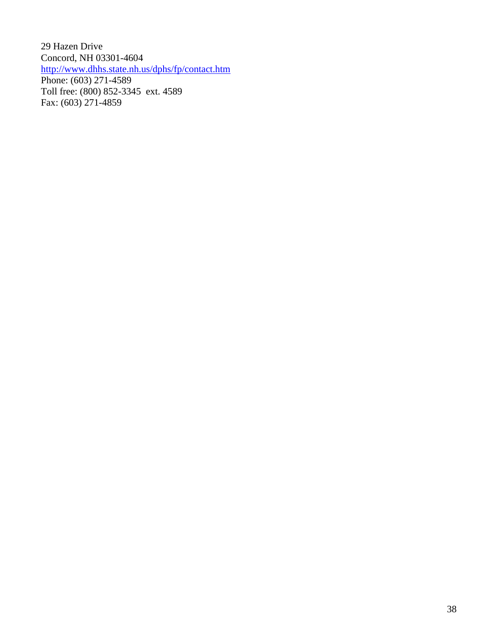29 Hazen Drive Concord, NH 03301-4604 <http://www.dhhs.state.nh.us/dphs/fp/contact.htm> Phone: (603) 271-4589 Toll free: (800) 852-3345 ext. 4589 Fax: (603) 271-4859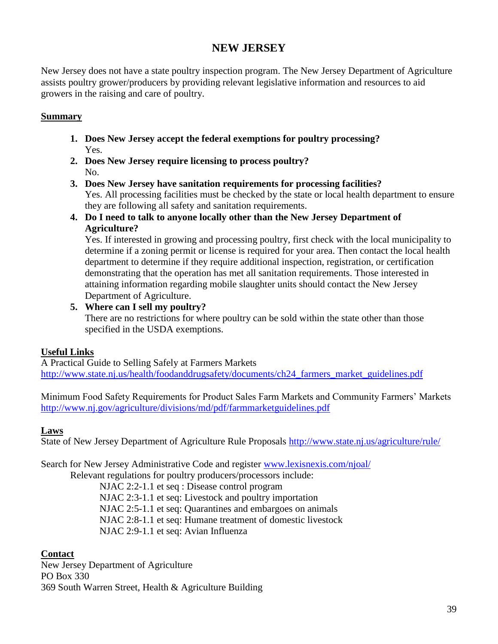# **NEW JERSEY**

New Jersey does not have a state poultry inspection program. The New Jersey Department of Agriculture assists poultry grower/producers by providing relevant legislative information and resources to aid growers in the raising and care of poultry.

### **Summary**

- **1. Does New Jersey accept the federal exemptions for poultry processing?** Yes.
- **2. Does New Jersey require licensing to process poultry?** No.
- **3. Does New Jersey have sanitation requirements for processing facilities?** Yes. All processing facilities must be checked by the state or local health department to ensure they are following all safety and sanitation requirements.
- **4. Do I need to talk to anyone locally other than the New Jersey Department of Agriculture?**

Yes. If interested in growing and processing poultry, first check with the local municipality to determine if a zoning permit or license is required for your area. Then contact the local health department to determine if they require additional inspection, registration, or certification demonstrating that the operation has met all sanitation requirements. Those interested in attaining information regarding mobile slaughter units should contact the New Jersey Department of Agriculture.

#### **5. Where can I sell my poultry?** There are no restrictions for where poultry can be sold within the state other than those specified in the USDA exemptions.

# **Useful Links**

A Practical Guide to Selling Safely at Farmers Markets http://www.state.nj.us/health/foodanddrugsafety/documents/ch24 farmers market guidelines.pdf

Minimum Food Safety Requirements for Product Sales Farm Markets and Community Farmers' Markets <http://www.nj.gov/agriculture/divisions/md/pdf/farmmarketguidelines.pdf>

# **Laws**

State of New Jersey Department of Agriculture Rule Proposals<http://www.state.nj.us/agriculture/rule/>

Search for New Jersey Administrative Code and register [www.lexisnexis.com/njoal/](http://www.lexisnexis.com/njoal/)

Relevant regulations for poultry producers/processors include:

NJAC 2:2-1.1 et seq : Disease control program

NJAC 2:3-1.1 et seq: Livestock and poultry importation

NJAC 2:5-1.1 et seq: Quarantines and embargoes on animals

NJAC 2:8-1.1 et seq: Humane treatment of domestic livestock

NJAC 2:9-1.1 et seq: Avian Influenza

# **Contact**

New Jersey Department of Agriculture PO Box 330 369 South Warren Street, Health & Agriculture Building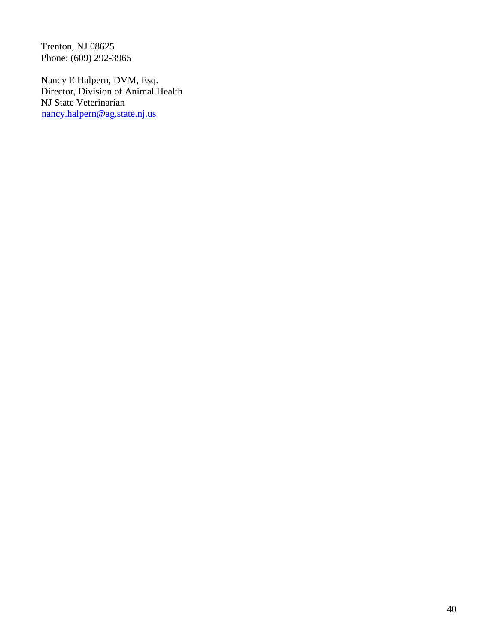Trenton, NJ 08625 Phone: (609) 292-3965

Nancy E Halpern, DVM, Esq. Director, Division of Animal Health NJ State Veterinarian [nancy.halpern@ag.state.nj.us](mailto:nancy.halpern@ag.state.nj.us)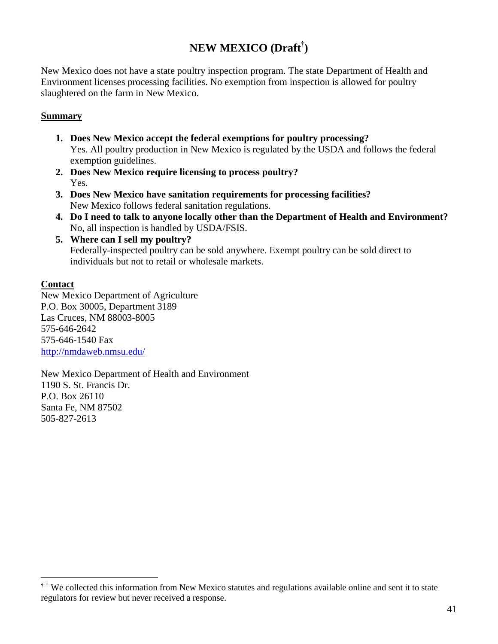# **NEW MEXICO (Draft† )**

New Mexico does not have a state poultry inspection program. The state Department of Health and Environment licenses processing facilities. No exemption from inspection is allowed for poultry slaughtered on the farm in New Mexico.

#### **Summary**

- **1. Does New Mexico accept the federal exemptions for poultry processing?** Yes. All poultry production in New Mexico is regulated by the USDA and follows the federal exemption guidelines.
- **2. Does New Mexico require licensing to process poultry?** Yes.
- **3. Does New Mexico have sanitation requirements for processing facilities?** New Mexico follows federal sanitation regulations.
- **4. Do I need to talk to anyone locally other than the Department of Health and Environment?** No, all inspection is handled by USDA/FSIS.
- **5. Where can I sell my poultry?** Federally-inspected poultry can be sold anywhere. Exempt poultry can be sold direct to individuals but not to retail or wholesale markets.

### **Contact**

 $\overline{a}$ 

New Mexico Department of Agriculture P.O. Box 30005, Department 3189 Las Cruces, NM 88003-8005 575-646-2642 575-646-1540 Fax <http://nmdaweb.nmsu.edu/>

New Mexico Department of Health and Environment 1190 S. St. Francis Dr. P.O. Box 26110 Santa Fe, NM 87502 505-827-2613

 $\dagger$ <sup>†</sup> We collected this information from New Mexico statutes and regulations available online and sent it to state regulators for review but never received a response.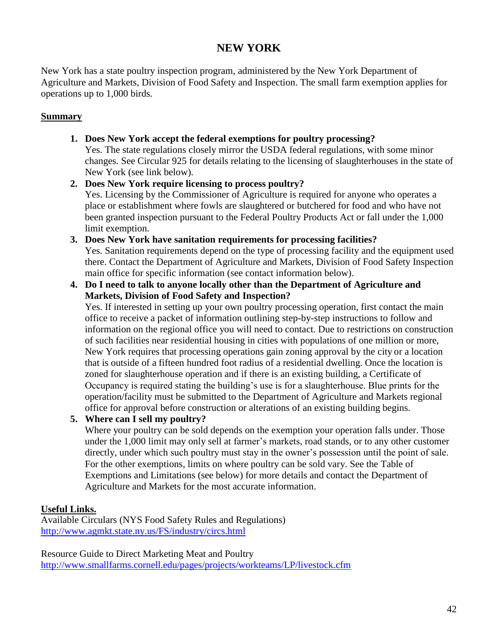# **NEW YORK**

New York has a state poultry inspection program, administered by the New York Department of Agriculture and Markets, Division of Food Safety and Inspection. The small farm exemption applies for operations up to 1,000 birds.

# **Summary**

- **1. Does New York accept the federal exemptions for poultry processing?** Yes. The state regulations closely mirror the USDA federal regulations, with some minor changes. See Circular 925 for details relating to the licensing of slaughterhouses in the state of New York (see link below).
- **2. Does New York require licensing to process poultry?** Yes. Licensing by the Commissioner of Agriculture is required for anyone who operates a place or establishment where fowls are slaughtered or butchered for food and who have not been granted inspection pursuant to the Federal Poultry Products Act or fall under the 1,000 limit exemption.
- **3. Does New York have sanitation requirements for processing facilities?** Yes. Sanitation requirements depend on the type of processing facility and the equipment used there. Contact the Department of Agriculture and Markets, Division of Food Safety Inspection main office for specific information (see contact information below).
- **4. Do I need to talk to anyone locally other than the Department of Agriculture and Markets, Division of Food Safety and Inspection?**

Yes. If interested in setting up your own poultry processing operation, first contact the main office to receive a packet of information outlining step-by-step instructions to follow and information on the regional office you will need to contact. Due to restrictions on construction of such facilities near residential housing in cities with populations of one million or more, New York requires that processing operations gain zoning approval by the city or a location that is outside of a fifteen hundred foot radius of a residential dwelling. Once the location is zoned for slaughterhouse operation and if there is an existing building, a Certificate of Occupancy is required stating the building's use is for a slaughterhouse. Blue prints for the operation/facility must be submitted to the Department of Agriculture and Markets regional office for approval before construction or alterations of an existing building begins.

**5. Where can I sell my poultry?**

Where your poultry can be sold depends on the exemption your operation falls under. Those under the 1,000 limit may only sell at farmer's markets, road stands, or to any other customer directly, under which such poultry must stay in the owner's possession until the point of sale. For the other exemptions, limits on where poultry can be sold vary. See the Table of Exemptions and Limitations (see below) for more details and contact the Department of Agriculture and Markets for the most accurate information.

# **Useful Links.**

Available Circulars (NYS Food Safety Rules and Regulations) <http://www.agmkt.state.ny.us/FS/industry/circs.html>

Resource Guide to Direct Marketing Meat and Poultry <http://www.smallfarms.cornell.edu/pages/projects/workteams/LP/livestock.cfm>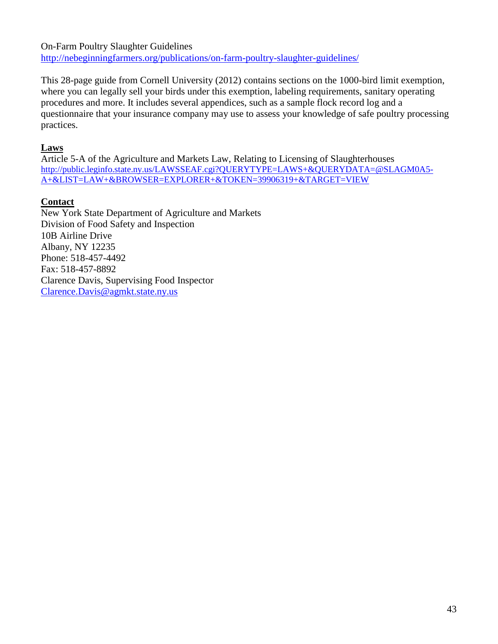On-Farm Poultry Slaughter Guidelines <http://nebeginningfarmers.org/publications/on-farm-poultry-slaughter-guidelines/>

This 28-page guide from Cornell University (2012) contains sections on the 1000-bird limit exemption, where you can legally sell your birds under this exemption, labeling requirements, sanitary operating procedures and more. It includes several appendices, such as a sample flock record log and a questionnaire that your insurance company may use to assess your knowledge of safe poultry processing practices.

# **Laws**

Article 5-A of the Agriculture and Markets Law, Relating to Licensing of Slaughterhouses [http://public.leginfo.state.ny.us/LAWSSEAF.cgi?QUERYTYPE=LAWS+&QUERYDATA=@SLAGM0A5-](http://public.leginfo.state.ny.us/LAWSSEAF.cgi?QUERYTYPE=LAWS+&QUERYDATA=@SLAGM0A5-A+&LIST=LAW+&BROWSER=EXPLORER+&TOKEN=39906319+&TARGET=VIEW) [A+&LIST=LAW+&BROWSER=EXPLORER+&TOKEN=39906319+&TARGET=VIEW](http://public.leginfo.state.ny.us/LAWSSEAF.cgi?QUERYTYPE=LAWS+&QUERYDATA=@SLAGM0A5-A+&LIST=LAW+&BROWSER=EXPLORER+&TOKEN=39906319+&TARGET=VIEW)

# **Contact**

New York State Department of Agriculture and Markets Division of Food Safety and Inspection 10B Airline Drive Albany, NY 12235 Phone: 518-457-4492 Fax: 518-457-8892 Clarence Davis, Supervising Food Inspector [Clarence.Davis@agmkt.state.ny.us](mailto:Clarence.Davis@agmkt.state.ny.us)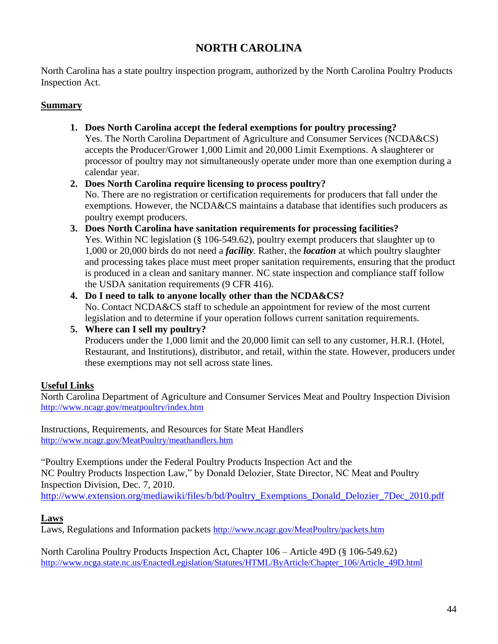# **NORTH CAROLINA**

North Carolina has a state poultry inspection program, authorized by the North Carolina Poultry Products Inspection Act.

# **Summary**

**1. Does North Carolina accept the federal exemptions for poultry processing?** Yes. The North Carolina Department of Agriculture and Consumer Services (NCDA&CS) accepts the Producer/Grower 1,000 Limit and 20,000 Limit Exemptions. A slaughterer or processor of poultry may not simultaneously operate under more than one exemption during a calendar year.

# **2. Does North Carolina require licensing to process poultry?**

No. There are no registration or certification requirements for producers that fall under the exemptions. However, the NCDA&CS maintains a database that identifies such producers as poultry exempt producers.

- **3. Does North Carolina have sanitation requirements for processing facilities?** Yes. Within NC legislation (§ 106-549.62), poultry exempt producers that slaughter up to 1,000 or 20,000 birds do not need a *facility*. Rather, the *location* at which poultry slaughter and processing takes place must meet proper sanitation requirements, ensuring that the product is produced in a clean and sanitary manner. NC state inspection and compliance staff follow the USDA sanitation requirements (9 CFR 416).
- **4. Do I need to talk to anyone locally other than the NCDA&CS?** No. Contact NCDA&CS staff to schedule an appointment for review of the most current legislation and to determine if your operation follows current sanitation requirements.

**5. Where can I sell my poultry?**

Producers under the 1,000 limit and the 20,000 limit can sell to any customer, H.R.I. (Hotel, Restaurant, and Institutions), distributor, and retail, within the state. However, producers under these exemptions may not sell across state lines.

# **Useful Links**

North Carolina Department of Agriculture and Consumer Services Meat and Poultry Inspection Division <http://www.ncagr.gov/meatpoultry/index.htm>

Instructions, Requirements, and Resources for State Meat Handlers <http://www.ncagr.gov/MeatPoultry/meathandlers.htm>

"Poultry Exemptions under the Federal Poultry Products Inspection Act and the NC Poultry Products Inspection Law," by Donald Delozier, State Director, NC Meat and Poultry Inspection Division, Dec. 7, 2010.

[http://www.extension.org/mediawiki/files/b/bd/Poultry\\_Exemptions\\_Donald\\_Delozier\\_7Dec\\_2010.pdf](http://www.extension.org/mediawiki/files/b/bd/Poultry_Exemptions_Donald_Delozier_7Dec_2010.pdf)

# **Laws**

Laws, Regulations and Information packets <http://www.ncagr.gov/MeatPoultry/packets.htm>

North Carolina Poultry Products Inspection Act, Chapter 106 – Article 49D (§ 106-549.62) http://www.ncga.state.nc.us/EnactedLegislation/Statutes/HTML/ByArticle/Chapter\_106/Article\_49D.html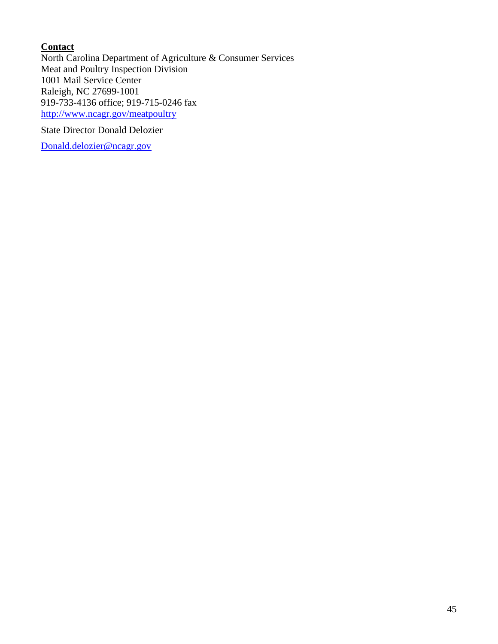# **Contact**

North Carolina Department of Agriculture & Consumer Services Meat and Poultry Inspection Division 1001 Mail Service Center Raleigh, NC 27699-1001 919-733-4136 office; 919-715-0246 fax <http://www.ncagr.gov/meatpoultry>

State Director Donald Delozier

[Donald.delozier@ncagr.gov](mailto:Donald.delozier@ncagr.gov)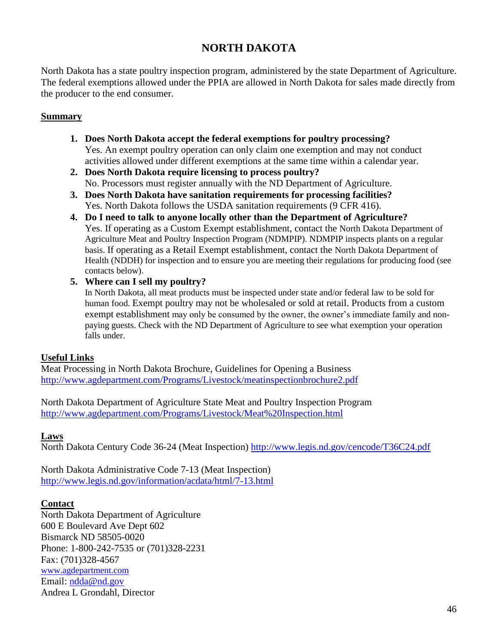# **NORTH DAKOTA**

North Dakota has a state poultry inspection program, administered by the state Department of Agriculture. The federal exemptions allowed under the PPIA are allowed in North Dakota for sales made directly from the producer to the end consumer.

#### **Summary**

- **1. Does North Dakota accept the federal exemptions for poultry processing?** Yes. An exempt poultry operation can only claim one exemption and may not conduct activities allowed under different exemptions at the same time within a calendar year.
- **2. Does North Dakota require licensing to process poultry?** No. Processors must register annually with the ND Department of Agriculture.
- **3. Does North Dakota have sanitation requirements for processing facilities?** Yes. North Dakota follows the USDA sanitation requirements (9 CFR 416).
- **4. Do I need to talk to anyone locally other than the Department of Agriculture?** Yes. If operating as a Custom Exempt establishment, contact the North Dakota Department of Agriculture Meat and Poultry Inspection Program (NDMPIP). NDMPIP inspects plants on a regular basis. If operating as a Retail Exempt establishment, contact the North Dakota Department of Health (NDDH) for inspection and to ensure you are meeting their regulations for producing food (see contacts below).
- **5. Where can I sell my poultry?**

In North Dakota, all meat products must be inspected under state and/or federal law to be sold for human food. Exempt poultry may not be wholesaled or sold at retail. Products from a custom exempt establishment may only be consumed by the owner, the owner's immediate family and nonpaying guests. Check with the ND Department of Agriculture to see what exemption your operation falls under.

### **Useful Links**

Meat Processing in North Dakota Brochure, Guidelines for Opening a Business <http://www.agdepartment.com/Programs/Livestock/meatinspectionbrochure2.pdf>

North Dakota Department of Agriculture State Meat and Poultry Inspection Program <http://www.agdepartment.com/Programs/Livestock/Meat%20Inspection.html>

### **Laws**

North Dakota Century Code 36-24 (Meat Inspection) <http://www.legis.nd.gov/cencode/T36C24.pdf>

North Dakota Administrative Code 7-13 (Meat Inspection) <http://www.legis.nd.gov/information/acdata/html/7-13.html>

#### **Contact**

North Dakota Department of Agriculture 600 E Boulevard Ave Dept 602 Bismarck ND 58505-0020 Phone: 1-800-242-7535 or (701)328-2231 Fax: (701)328-4567 [www.agdepartment.com](http://www.agdepartment.com/) Email: [ndda@nd.gov](mailto:ndda@nd.gov) Andrea L Grondahl, Director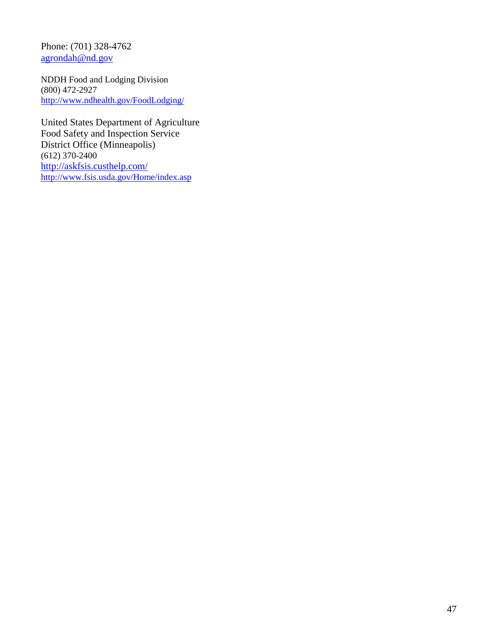Phone: (701) 328-4762 [agrondah@nd.gov](mailto:agrondah@nd.gov)

NDDH Food and Lodging Division (800) 472-2927 <http://www.ndhealth.gov/FoodLodging/>

United States Department of Agriculture Food Safety and Inspection Service District Office (Minneapolis) (612) 370-2400 <http://askfsis.custhelp.com/> <http://www.fsis.usda.gov/Home/index.asp>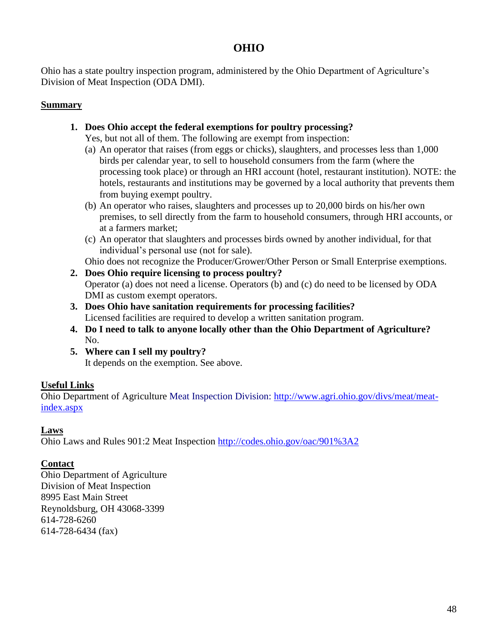# **OHIO**

Ohio has a state poultry inspection program, administered by the Ohio Department of Agriculture's Division of Meat Inspection (ODA DMI).

### **Summary**

**1. Does Ohio accept the federal exemptions for poultry processing?**

Yes, but not all of them. The following are exempt from inspection:

- (a) An operator that raises (from eggs or chicks), slaughters, and processes less than 1,000 birds per calendar year, to sell to household consumers from the farm (where the processing took place) or through an HRI account (hotel, restaurant institution). NOTE: the hotels, restaurants and institutions may be governed by a local authority that prevents them from buying exempt poultry.
- (b) An operator who raises, slaughters and processes up to 20,000 birds on his/her own premises, to sell directly from the farm to household consumers, through HRI accounts, or at a farmers market;
- (c) An operator that slaughters and processes birds owned by another individual, for that individual's personal use (not for sale).

Ohio does not recognize the Producer/Grower/Other Person or Small Enterprise exemptions.

- **2. Does Ohio require licensing to process poultry?** Operator (a) does not need a license. Operators (b) and (c) do need to be licensed by ODA DMI as custom exempt operators.
- **3. Does Ohio have sanitation requirements for processing facilities?** Licensed facilities are required to develop a written sanitation program.
- **4. Do I need to talk to anyone locally other than the Ohio Department of Agriculture?** No.
- **5. Where can I sell my poultry?** It depends on the exemption. See above.

# **Useful Links**

Ohio Department of Agriculture Meat Inspection Division: [http://www.agri.ohio.gov/divs/meat/meat](http://www.agri.ohio.gov/divs/meat/meat-index.aspx)[index.aspx](http://www.agri.ohio.gov/divs/meat/meat-index.aspx)

# **Laws**

Ohio Laws and Rules 901:2 Meat Inspection<http://codes.ohio.gov/oac/901%3A2>

# **Contact**

Ohio Department of Agriculture Division of Meat Inspection 8995 East Main Street Reynoldsburg, OH 43068-3399 614-728-6260 614-728-6434 (fax)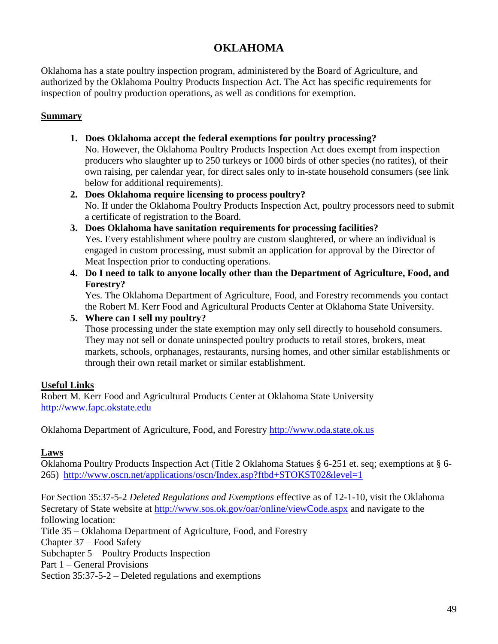# **OKLAHOMA**

Oklahoma has a state poultry inspection program, administered by the Board of Agriculture, and authorized by the Oklahoma Poultry Products Inspection Act. The Act has specific requirements for inspection of poultry production operations, as well as conditions for exemption.

#### **Summary**

**1. Does Oklahoma accept the federal exemptions for poultry processing?**

No. However, the Oklahoma Poultry Products Inspection Act does exempt from inspection producers who slaughter up to 250 turkeys or 1000 birds of other species (no ratites), of their own raising, per calendar year, for direct sales only to in-state household consumers (see link below for additional requirements).

- **2. Does Oklahoma require licensing to process poultry?** No. If under the Oklahoma Poultry Products Inspection Act, poultry processors need to submit a certificate of registration to the Board.
- **3. Does Oklahoma have sanitation requirements for processing facilities?** Yes. Every establishment where poultry are custom slaughtered, or where an individual is engaged in custom processing, must submit an application for approval by the Director of Meat Inspection prior to conducting operations.
- **4. Do I need to talk to anyone locally other than the Department of Agriculture, Food, and Forestry?**

Yes. The Oklahoma Department of Agriculture, Food, and Forestry recommends you contact the Robert M. Kerr Food and Agricultural Products Center at Oklahoma State University.

#### **5. Where can I sell my poultry?**

Those processing under the state exemption may only sell directly to household consumers. They may not sell or donate uninspected poultry products to retail stores, brokers, meat markets, schools, orphanages, restaurants, nursing homes, and other similar establishments or through their own retail market or similar establishment.

### **Useful Links**

Robert M. Kerr Food and Agricultural Products Center at Oklahoma State University [http://www.fapc.okstate.edu](http://www.fapc.okstate.edu/)

Oklahoma Department of Agriculture, Food, and Forestry [http://www.oda.state.ok.us](http://www.oda.state.ok.us/)

#### **Laws**

Oklahoma Poultry Products Inspection Act (Title 2 Oklahoma Statues § 6-251 et. seq; exemptions at § 6- 265) <http://www.oscn.net/applications/oscn/Index.asp?ftbd+STOKST02&level=1>

For Section 35:37-5-2 *Deleted Regulations and Exemptions* effective as of 12-1-10, visit the Oklahoma Secretary of State website at<http://www.sos.ok.gov/oar/online/viewCode.aspx> and navigate to the following location: Title 35 – Oklahoma Department of Agriculture, Food, and Forestry Chapter 37 – Food Safety Subchapter 5 – Poultry Products Inspection Part 1 – General Provisions Section 35:37-5-2 – Deleted regulations and exemptions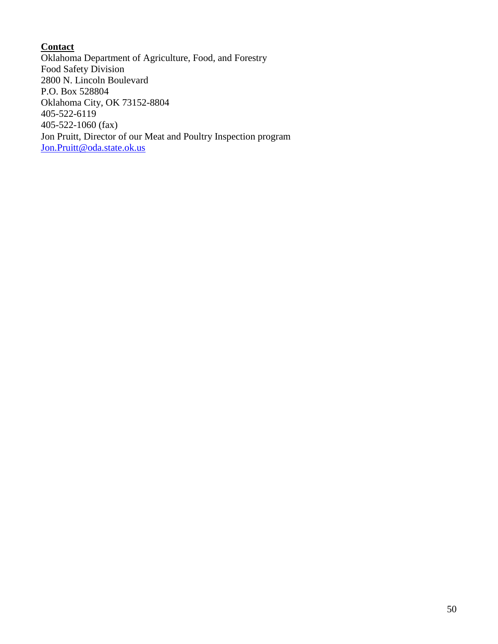# **Contact**

Oklahoma Department of Agriculture, Food, and Forestry Food Safety Division 2800 N. Lincoln Boulevard P.O. Box 528804 Oklahoma City, OK 73152-8804 405-522-6119 405-522-1060 (fax) Jon Pruitt, Director of our Meat and Poultry Inspection program [Jon.Pruitt@oda.state.ok.us](mailto:Jon.Pruitt@oda.state.ok.us)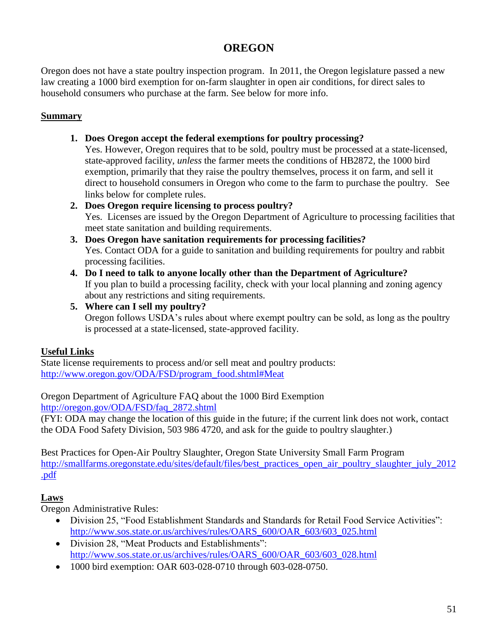# **OREGON**

Oregon does not have a state poultry inspection program. In 2011, the Oregon legislature passed a new law creating a 1000 bird exemption for on-farm slaughter in open air conditions, for direct sales to household consumers who purchase at the farm. See below for more info.

# **Summary**

**1. Does Oregon accept the federal exemptions for poultry processing?**

Yes. However, Oregon requires that to be sold, poultry must be processed at a state-licensed, state-approved facility, *unless* the farmer meets the conditions of HB2872, the 1000 bird exemption, primarily that they raise the poultry themselves, process it on farm, and sell it direct to household consumers in Oregon who come to the farm to purchase the poultry. See links below for complete rules.

# **2. Does Oregon require licensing to process poultry?**

Yes. Licenses are issued by the Oregon Department of Agriculture to processing facilities that meet state sanitation and building requirements.

- **3. Does Oregon have sanitation requirements for processing facilities?** Yes. Contact ODA for a guide to sanitation and building requirements for poultry and rabbit processing facilities.
- **4. Do I need to talk to anyone locally other than the Department of Agriculture?**  If you plan to build a processing facility, check with your local planning and zoning agency about any restrictions and siting requirements.
- **5. Where can I sell my poultry?** Oregon follows USDA's rules about where exempt poultry can be sold, as long as the poultry is processed at a state-licensed, state-approved facility.

# **Useful Links**

State license requirements to process and/or sell meat and poultry products: [http://www.oregon.gov/ODA/FSD/program\\_food.shtml#Meat](http://www.oregon.gov/ODA/FSD/program_food.shtml#Meat)

Oregon Department of Agriculture FAQ about the 1000 Bird Exemption [http://oregon.gov/ODA/FSD/faq\\_2872.shtml](http://oregon.gov/ODA/FSD/faq_2872.shtml)

(FYI: ODA may change the location of this guide in the future; if the current link does not work, contact the ODA Food Safety Division, 503 986 4720, and ask for the guide to poultry slaughter.)

Best Practices for Open-Air Poultry Slaughter, Oregon State University Small Farm Program [http://smallfarms.oregonstate.edu/sites/default/files/best\\_practices\\_open\\_air\\_poultry\\_slaughter\\_july\\_2012](http://smallfarms.oregonstate.edu/sites/default/files/best_practices_open_air_poultry_slaughter_july_2012.pdf) [.pdf](http://smallfarms.oregonstate.edu/sites/default/files/best_practices_open_air_poultry_slaughter_july_2012.pdf)

# **Laws**

Oregon Administrative Rules:

- Division 25, "Food Establishment Standards and Standards for Retail Food Service Activities": [http://www.sos.state.or.us/archives/rules/OARS\\_600/OAR\\_603/603\\_025.html](http://www.sos.state.or.us/archives/rules/OARS_600/OAR_603/603_025.html)
- Division 28, "Meat Products and Establishments": [http://www.sos.state.or.us/archives/rules/OARS\\_600/OAR\\_603/603\\_028.html](http://www.sos.state.or.us/archives/rules/OARS_600/OAR_603/603_028.html)
- 1000 bird exemption: OAR 603-028-0710 through 603-028-0750.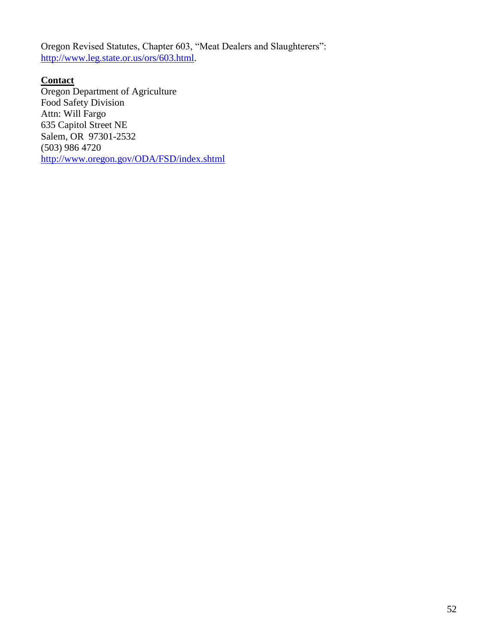Oregon Revised Statutes, Chapter 603, "Meat Dealers and Slaughterers": [http://www.leg.state.or.us/ors/603.html.](http://www.leg.state.or.us/ors/603.html)

**Contact** Oregon Department of Agriculture Food Safety Division Attn: Will Fargo 635 Capitol Street NE Salem, OR 97301-2532 (503) 986 4720 <http://www.oregon.gov/ODA/FSD/index.shtml>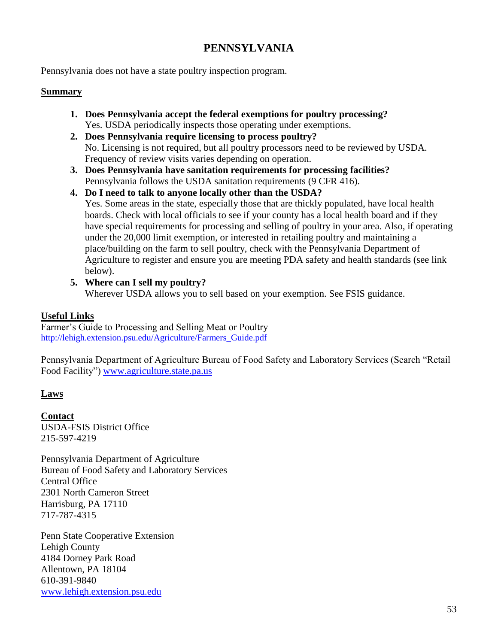# **PENNSYLVANIA**

Pennsylvania does not have a state poultry inspection program.

#### **Summary**

- **1. Does Pennsylvania accept the federal exemptions for poultry processing?** Yes. USDA periodically inspects those operating under exemptions.
- **2. Does Pennsylvania require licensing to process poultry?** No. Licensing is not required, but all poultry processors need to be reviewed by USDA. Frequency of review visits varies depending on operation.
- **3. Does Pennsylvania have sanitation requirements for processing facilities?** Pennsylvania follows the USDA sanitation requirements (9 CFR 416).
- **4. Do I need to talk to anyone locally other than the USDA?** Yes. Some areas in the state, especially those that are thickly populated, have local health boards. Check with local officials to see if your county has a local health board and if they have special requirements for processing and selling of poultry in your area. Also, if operating under the 20,000 limit exemption, or interested in retailing poultry and maintaining a place/building on the farm to sell poultry, check with the Pennsylvania Department of Agriculture to register and ensure you are meeting PDA safety and health standards (see link below).
- **5. Where can I sell my poultry?**

Wherever USDA allows you to sell based on your exemption. See FSIS guidance.

### **Useful Links**

Farmer's Guide to Processing and Selling Meat or Poultry [http://lehigh.extension.psu.edu/Agriculture/Farmers\\_Guide.pdf](http://lehigh.extension.psu.edu/Agriculture/Farmers_Guide.pdf)

Pennsylvania Department of Agriculture Bureau of Food Safety and Laboratory Services (Search "Retail Food Facility") [www.agriculture.state.pa.us](http://www.agriculture.state.pa.us/)

### **Laws**

**Contact** USDA-FSIS District Office 215-597-4219

Pennsylvania Department of Agriculture Bureau of Food Safety and Laboratory Services Central Office 2301 North Cameron Street Harrisburg, PA 17110 717-787-4315

Penn State Cooperative Extension Lehigh County 4184 Dorney Park Road Allentown, PA 18104 610-391-9840 [www.lehigh.extension.psu.edu](http://www.lehigh.extension.psu.edu/)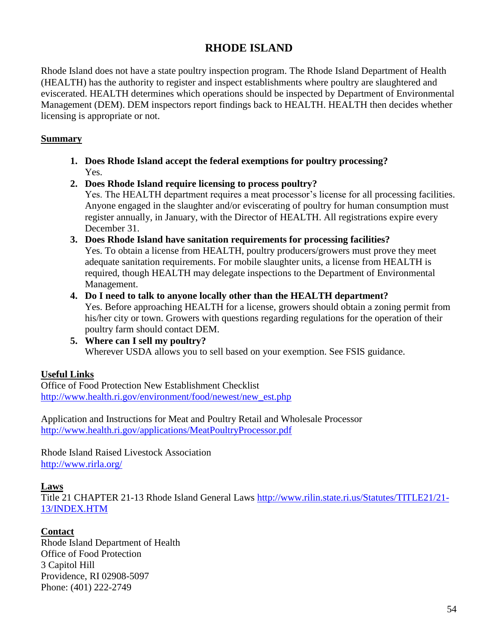# **RHODE ISLAND**

Rhode Island does not have a state poultry inspection program. The Rhode Island Department of Health (HEALTH) has the authority to register and inspect establishments where poultry are slaughtered and eviscerated. HEALTH determines which operations should be inspected by Department of Environmental Management (DEM). DEM inspectors report findings back to HEALTH. HEALTH then decides whether licensing is appropriate or not.

### **Summary**

- **1. Does Rhode Island accept the federal exemptions for poultry processing?** Yes.
- **2. Does Rhode Island require licensing to process poultry?** Yes. The HEALTH department requires a meat processor's license for all processing facilities. Anyone engaged in the slaughter and/or eviscerating of poultry for human consumption must register annually, in January, with the Director of HEALTH. All registrations expire every December 31.
- **3. Does Rhode Island have sanitation requirements for processing facilities?** Yes. To obtain a license from HEALTH, poultry producers/growers must prove they meet adequate sanitation requirements. For mobile slaughter units, a license from HEALTH is required, though HEALTH may delegate inspections to the Department of Environmental Management.
- **4. Do I need to talk to anyone locally other than the HEALTH department?** Yes. Before approaching HEALTH for a license, growers should obtain a zoning permit from his/her city or town. Growers with questions regarding regulations for the operation of their poultry farm should contact DEM.
- **5. Where can I sell my poultry?** Wherever USDA allows you to sell based on your exemption. See FSIS guidance.

# **Useful Links**

Office of Food Protection New Establishment Checklist [http://www.health.ri.gov/environment/food/newest/new\\_est.php](http://www.health.ri.gov/environment/food/newest/new_est.php)

Application and Instructions for Meat and Poultry Retail and Wholesale Processor <http://www.health.ri.gov/applications/MeatPoultryProcessor.pdf>

Rhode Island Raised Livestock Association <http://www.rirla.org/>

### **Laws**

Title 21 CHAPTER 21-13 Rhode Island General Laws [http://www.rilin.state.ri.us/Statutes/TITLE21/21-](http://www.rilin.state.ri.us/Statutes/TITLE21/21-13/INDEX.HTM) [13/INDEX.HTM](http://www.rilin.state.ri.us/Statutes/TITLE21/21-13/INDEX.HTM)

# **Contact**

Rhode Island Department of Health Office of Food Protection 3 Capitol Hill Providence, RI 02908-5097 Phone: (401) 222-2749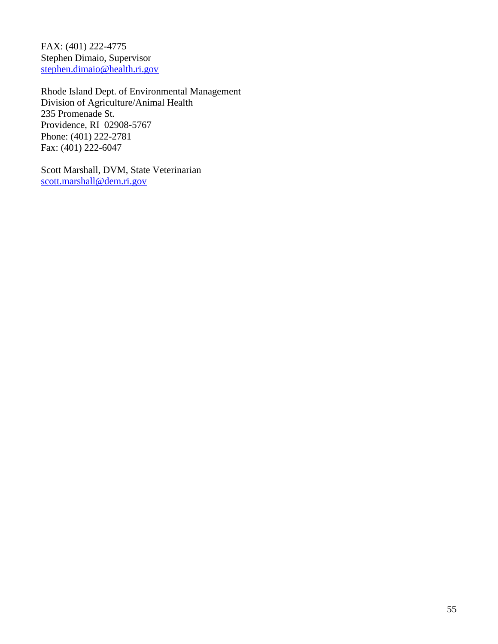FAX: (401) 222-4775 Stephen Dimaio, Supervisor [stephen.dimaio@health.ri.gov](mailto:stephen.dimaio@health.ri.gov)

Rhode Island Dept. of Environmental Management Division of Agriculture/Animal Health 235 Promenade St. Providence, RI 02908-5767 Phone: (401) 222-2781 Fax: (401) 222-6047

Scott Marshall, DVM, State Veterinarian [scott.marshall@dem.ri.gov](mailto:scott.marshall@dem.ri.gov)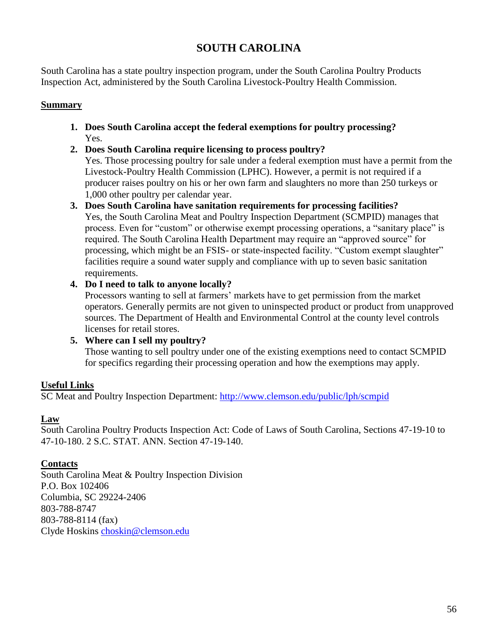# **SOUTH CAROLINA**

South Carolina has a state poultry inspection program, under the South Carolina Poultry Products Inspection Act, administered by the South Carolina Livestock-Poultry Health Commission.

# **Summary**

- **1. Does South Carolina accept the federal exemptions for poultry processing?** Yes.
- **2. Does South Carolina require licensing to process poultry?**

Yes. Those processing poultry for sale under a federal exemption must have a permit from the Livestock-Poultry Health Commission (LPHC). However, a permit is not required if a producer raises poultry on his or her own farm and slaughters no more than 250 turkeys or 1,000 other poultry per calendar year.

- **3. Does South Carolina have sanitation requirements for processing facilities?** Yes, the South Carolina Meat and Poultry Inspection Department (SCMPID) manages that process. Even for "custom" or otherwise exempt processing operations, a "sanitary place" is required. The South Carolina Health Department may require an "approved source" for processing, which might be an FSIS- or state-inspected facility. "Custom exempt slaughter" facilities require a sound water supply and compliance with up to seven basic sanitation requirements.
- **4. Do I need to talk to anyone locally?**

Processors wanting to sell at farmers' markets have to get permission from the market operators. Generally permits are not given to uninspected product or product from unapproved sources. The Department of Health and Environmental Control at the county level controls licenses for retail stores.

# **5. Where can I sell my poultry?**

Those wanting to sell poultry under one of the existing exemptions need to contact SCMPID for specifics regarding their processing operation and how the exemptions may apply.

# **Useful Links**

SC Meat and Poultry Inspection Department:<http://www.clemson.edu/public/lph/scmpid>

### **Law**

South Carolina Poultry Products Inspection Act: Code of Laws of South Carolina, Sections 47-19-10 to 47-10-180. 2 S.C. STAT. ANN. Section 47-19-140.

### **Contacts**

South Carolina Meat & Poultry Inspection Division P.O. Box 102406 Columbia, SC 29224-2406 803-788-8747 803-788-8114 (fax) Clyde Hoskins [choskin@clemson.edu](mailto:choskin@clemson.edu)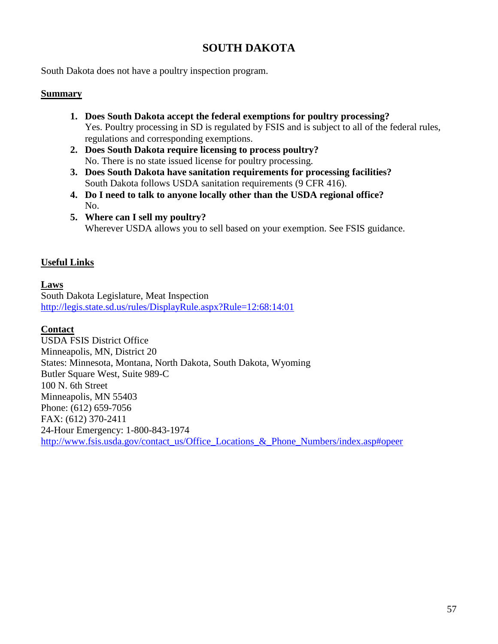# **SOUTH DAKOTA**

South Dakota does not have a poultry inspection program.

#### **Summary**

- **1. Does South Dakota accept the federal exemptions for poultry processing?** Yes. Poultry processing in SD is regulated by FSIS and is subject to all of the federal rules, regulations and corresponding exemptions.
- **2. Does South Dakota require licensing to process poultry?** No. There is no state issued license for poultry processing.
- **3. Does South Dakota have sanitation requirements for processing facilities?** South Dakota follows USDA sanitation requirements (9 CFR 416).
- **4. Do I need to talk to anyone locally other than the USDA regional office?** No.
- **5. Where can I sell my poultry?** Wherever USDA allows you to sell based on your exemption. See FSIS guidance.

#### **Useful Links**

#### **Laws**

South Dakota Legislature, Meat Inspection <http://legis.state.sd.us/rules/DisplayRule.aspx?Rule=12:68:14:01>

#### **Contact**

USDA FSIS District Office Minneapolis, MN, District 20 States: Minnesota, Montana, North Dakota, South Dakota, Wyoming Butler Square West, Suite 989-C 100 N. 6th Street Minneapolis, MN 55403 Phone: (612) 659-7056 FAX: (612) 370-2411 24-Hour Emergency: 1-800-843-1974 [http://www.fsis.usda.gov/contact\\_us/Office\\_Locations\\_&\\_Phone\\_Numbers/index.asp#opeer](http://www.fsis.usda.gov/contact_us/Office_Locations_&_Phone_Numbers/index.asp#opeer)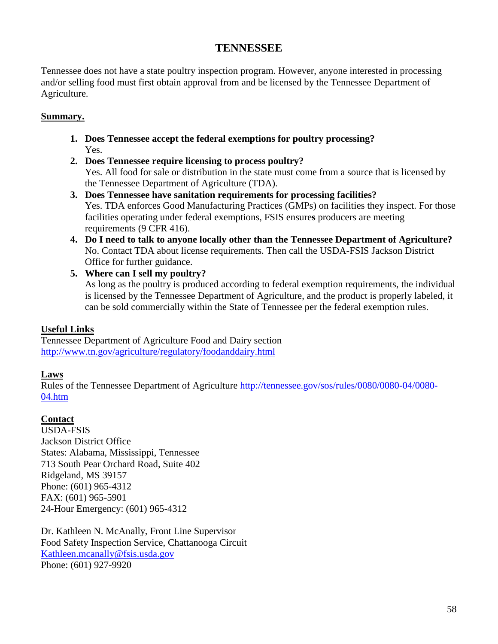# **TENNESSEE**

Tennessee does not have a state poultry inspection program. However, anyone interested in processing and/or selling food must first obtain approval from and be licensed by the Tennessee Department of Agriculture.

### **Summary.**

- **1. Does Tennessee accept the federal exemptions for poultry processing?** Yes.
- **2. Does Tennessee require licensing to process poultry?** Yes. All food for sale or distribution in the state must come from a source that is licensed by the Tennessee Department of Agriculture (TDA).
- **3. Does Tennessee have sanitation requirements for processing facilities?** Yes. TDA enforces Good Manufacturing Practices (GMPs) on facilities they inspect. For those facilities operating under federal exemptions, FSIS ensure**s** producers are meeting requirements (9 CFR 416).
- **4. Do I need to talk to anyone locally other than the Tennessee Department of Agriculture?** No. Contact TDA about license requirements. Then call the USDA-FSIS Jackson District Office for further guidance.
- **5. Where can I sell my poultry?** As long as the poultry is produced according to federal exemption requirements, the individual is licensed by the Tennessee Department of Agriculture, and the product is properly labeled, it can be sold commercially within the State of Tennessee per the federal exemption rules.

### **Useful Links**

Tennessee Department of Agriculture Food and Dairy section <http://www.tn.gov/agriculture/regulatory/foodanddairy.html>

### **Laws**

Rules of the Tennessee Department of Agriculture [http://tennessee.gov/sos/rules/0080/0080-04/0080-](http://tennessee.gov/sos/rules/0080/0080-04/0080-04.htm) [04.htm](http://tennessee.gov/sos/rules/0080/0080-04/0080-04.htm)

### **Contact**

USDA-FSIS Jackson District Office States: Alabama, Mississippi, Tennessee 713 South Pear Orchard Road, Suite 402 Ridgeland, MS 39157 Phone: (601) 965-4312 FAX: (601) 965-5901 24-Hour Emergency: (601) 965-4312

Dr. Kathleen N. McAnally, Front Line Supervisor Food Safety Inspection Service, Chattanooga Circuit [Kathleen.mcanally@fsis.usda.gov](mailto:Kathleen.mcanally@fsis.usda.gov) Phone: (601) 927-9920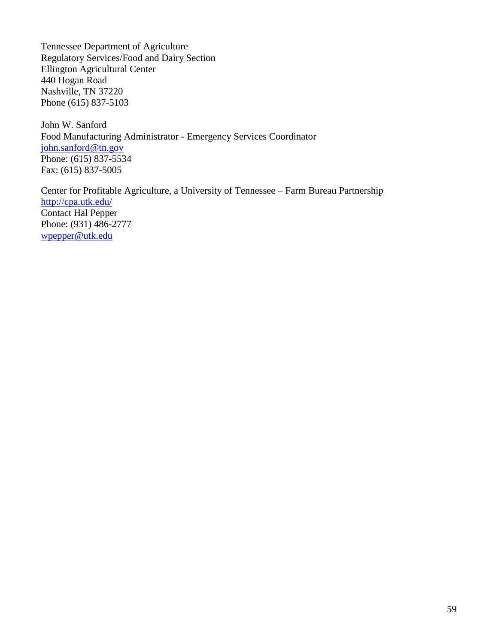Tennessee Department of Agriculture Regulatory Services/Food and Dairy Section Ellington Agricultural Center 440 Hogan Road Nashville, TN 37220 Phone (615) 837-5103

John W. Sanford Food Manufacturing Administrator - Emergency Services Coordinator [john.sanford@tn.gov](mailto:john.sanford@tn.gov) Phone: (615) 837-5534 Fax: (615) 837-5005

Center for Profitable Agriculture, a University of Tennessee – Farm Bureau Partnership <http://cpa.utk.edu/> Contact Hal Pepper Phone: (931) 486-2777 [wpepper@utk.edu](mailto:wpepper@utk.edu)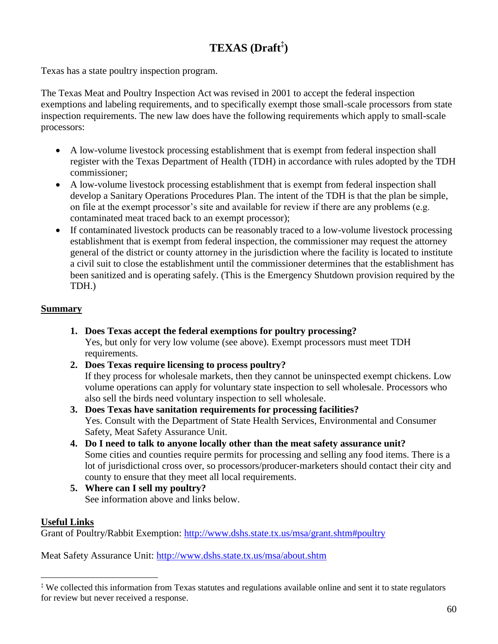# **TEXAS (Draft‡ )**

Texas has a state poultry inspection program.

The Texas Meat and Poultry Inspection Act was revised in 2001 to accept the federal inspection exemptions and labeling requirements, and to specifically exempt those small-scale processors from state inspection requirements. The new law does have the following requirements which apply to small-scale processors:

- A low-volume livestock processing establishment that is exempt from federal inspection shall register with the Texas Department of Health (TDH) in accordance with rules adopted by the TDH commissioner;
- A low-volume livestock processing establishment that is exempt from federal inspection shall develop a Sanitary Operations Procedures Plan. The intent of the TDH is that the plan be simple, on file at the exempt processor's site and available for review if there are any problems (e.g. contaminated meat traced back to an exempt processor);
- If contaminated livestock products can be reasonably traced to a low-volume livestock processing establishment that is exempt from federal inspection, the commissioner may request the attorney general of the district or county attorney in the jurisdiction where the facility is located to institute a civil suit to close the establishment until the commissioner determines that the establishment has been sanitized and is operating safely. (This is the Emergency Shutdown provision required by the TDH.)

# **Summary**

- **1. Does Texas accept the federal exemptions for poultry processing?** Yes, but only for very low volume (see above). Exempt processors must meet TDH requirements.
- **2. Does Texas require licensing to process poultry?** If they process for wholesale markets, then they cannot be uninspected exempt chickens. Low volume operations can apply for voluntary state inspection to sell wholesale. Processors who also sell the birds need voluntary inspection to sell wholesale.
- **3. Does Texas have sanitation requirements for processing facilities?** Yes. Consult with the Department of State Health Services, Environmental and Consumer Safety, Meat Safety Assurance Unit.
- **4. Do I need to talk to anyone locally other than the meat safety assurance unit?**  Some cities and counties require permits for processing and selling any food items. There is a lot of jurisdictional cross over, so processors/producer-marketers should contact their city and county to ensure that they meet all local requirements.
- **5. Where can I sell my poultry?** See information above and links below.

# **Useful Links**

 $\overline{a}$ 

Grant of Poultry/Rabbit Exemption:<http://www.dshs.state.tx.us/msa/grant.shtm#poultry>

Meat Safety Assurance Unit:<http://www.dshs.state.tx.us/msa/about.shtm>

<sup>‡</sup> We collected this information from Texas statutes and regulations available online and sent it to state regulators for review but never received a response.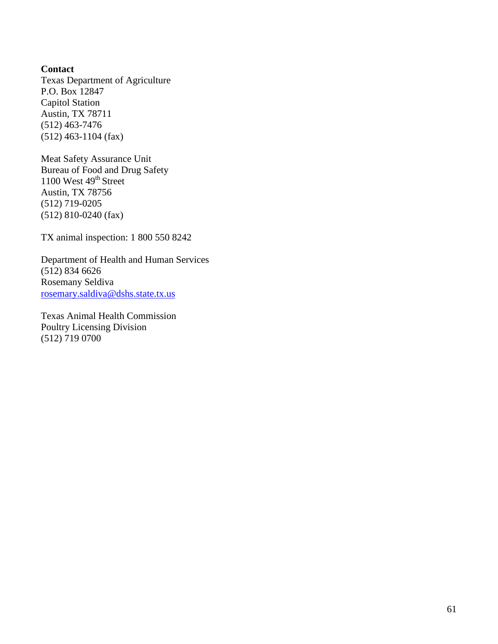**Contact** Texas Department of Agriculture P.O. Box 12847 Capitol Station Austin, TX 78711 (512) 463-7476 (512) 463-1104 (fax)

Meat Safety Assurance Unit Bureau of Food and Drug Safety 1100 West  $49<sup>th</sup>$  Street Austin, TX 78756 (512) 719-0205 (512) 810-0240 (fax)

TX animal inspection: 1 800 550 8242

Department of Health and Human Services (512) 834 6626 Rosemany Seldiva [rosemary.saldiva@dshs.state.tx.us](mailto:rosemary.saldiva@dshs.state.tx.us)

Texas Animal Health Commission Poultry Licensing Division (512) 719 0700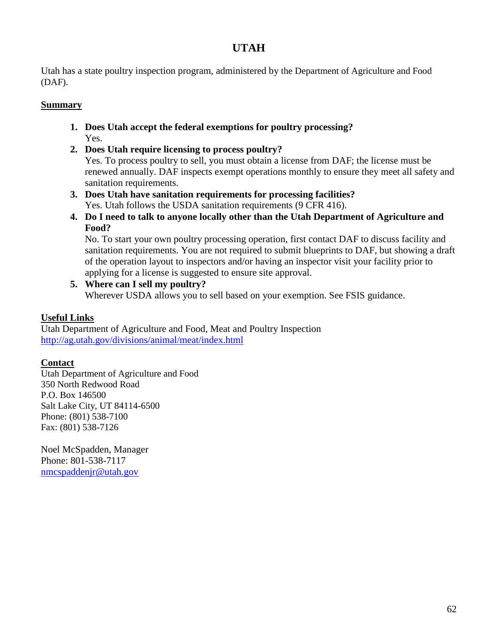# **UTAH**

Utah has a state poultry inspection program, administered by the Department of Agriculture and Food (DAF).

# **Summary**

- **1. Does Utah accept the federal exemptions for poultry processing?** Yes.
- **2. Does Utah require licensing to process poultry?**

Yes. To process poultry to sell, you must obtain a license from DAF; the license must be renewed annually. DAF inspects exempt operations monthly to ensure they meet all safety and sanitation requirements.

- **3. Does Utah have sanitation requirements for processing facilities?** Yes. Utah follows the USDA sanitation requirements (9 CFR 416).
- **4. Do I need to talk to anyone locally other than the Utah Department of Agriculture and Food?**

No. To start your own poultry processing operation, first contact DAF to discuss facility and sanitation requirements. You are not required to submit blueprints to DAF, but showing a draft of the operation layout to inspectors and/or having an inspector visit your facility prior to applying for a license is suggested to ensure site approval.

**5. Where can I sell my poultry?** Wherever USDA allows you to sell based on your exemption. See FSIS guidance.

# **Useful Links**

Utah Department of Agriculture and Food, Meat and Poultry Inspection <http://ag.utah.gov/divisions/animal/meat/index.html>

### **Contact**

Utah Department of Agriculture and Food 350 North Redwood Road P.O. Box 146500 Salt Lake City, UT 84114-6500 Phone: (801) 538-7100 Fax: (801) 538-7126

Noel McSpadden, Manager Phone: 801-538-7117 [nmcspaddenjr@utah.gov](mailto:wholt@utah.gov)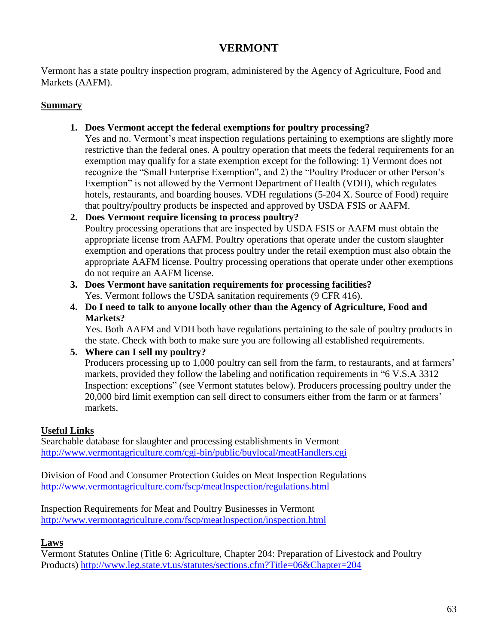# **VERMONT**

Vermont has a state poultry inspection program, administered by the Agency of Agriculture, Food and Markets (AAFM).

# **Summary**

- **1. Does Vermont accept the federal exemptions for poultry processing?**
	- Yes and no. Vermont's meat inspection regulations pertaining to exemptions are slightly more restrictive than the federal ones. A poultry operation that meets the federal requirements for an exemption may qualify for a state exemption except for the following: 1) Vermont does not recognize the "Small Enterprise Exemption", and 2) the "Poultry Producer or other Person's Exemption" is not allowed by the Vermont Department of Health (VDH), which regulates hotels, restaurants, and boarding houses. VDH regulations (5-204 X. Source of Food) require that poultry/poultry products be inspected and approved by USDA FSIS or AAFM.
- **2. Does Vermont require licensing to process poultry?** Poultry processing operations that are inspected by USDA FSIS or AAFM must obtain the appropriate license from AAFM. Poultry operations that operate under the custom slaughter exemption and operations that process poultry under the retail exemption must also obtain the appropriate AAFM license. Poultry processing operations that operate under other exemptions do not require an AAFM license.
- **3. Does Vermont have sanitation requirements for processing facilities?** Yes. Vermont follows the USDA sanitation requirements (9 CFR 416).
- **4. Do I need to talk to anyone locally other than the Agency of Agriculture, Food and Markets?**

Yes. Both AAFM and VDH both have regulations pertaining to the sale of poultry products in the state. Check with both to make sure you are following all established requirements.

**5. Where can I sell my poultry?** Producers processing up to 1,000 poultry can sell from the farm, to restaurants, and at farmers' markets, provided they follow the labeling and notification requirements in "6 V.S.A 3312 Inspection: exceptions" (see Vermont statutes below). Producers processing poultry under the 20,000 bird limit exemption can sell direct to consumers either from the farm or at farmers' markets.

# **Useful Links**

Searchable database for slaughter and processing establishments in Vermont <http://www.vermontagriculture.com/cgi-bin/public/buylocal/meatHandlers.cgi>

Division of Food and Consumer Protection Guides on Meat Inspection Regulations <http://www.vermontagriculture.com/fscp/meatInspection/regulations.html>

Inspection Requirements for Meat and Poultry Businesses in Vermont <http://www.vermontagriculture.com/fscp/meatInspection/inspection.html>

# **Laws**

Vermont Statutes Online (Title 6: Agriculture, Chapter 204: Preparation of Livestock and Poultry Products)<http://www.leg.state.vt.us/statutes/sections.cfm?Title=06&Chapter=204>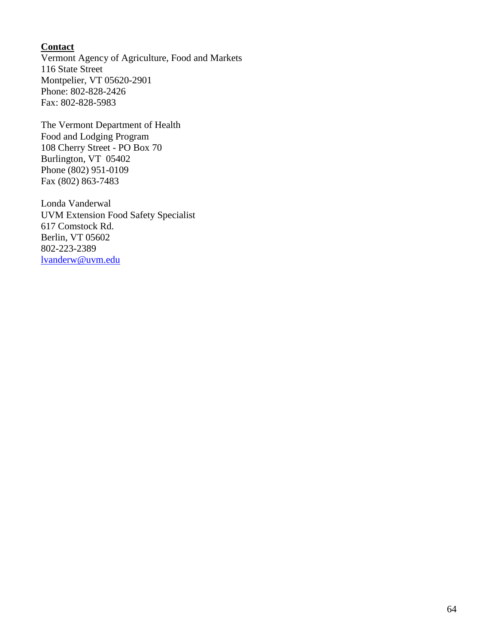### **Contact**

Vermont Agency of Agriculture, Food and Markets 116 State Street Montpelier, VT 05620-2901 Phone: 802-828-2426 Fax: 802-828-5983

The Vermont Department of Health Food and Lodging Program 108 Cherry Street - PO Box 70 Burlington, VT 05402 Phone (802) 951-0109 Fax (802) 863-7483

Londa Vanderwal UVM Extension Food Safety Specialist 617 Comstock Rd. Berlin, VT 05602 802-223-2389 [lvanderw@uvm.edu](mailto:lvanderw@uvm.edu)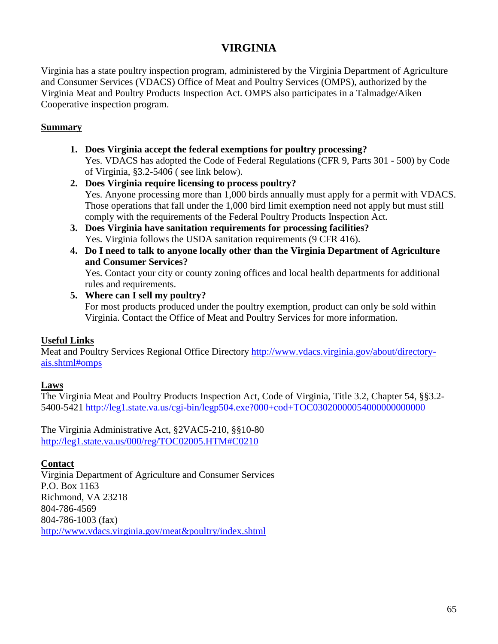# **VIRGINIA**

Virginia has a state poultry inspection program, administered by the Virginia Department of Agriculture and Consumer Services (VDACS) Office of Meat and Poultry Services (OMPS), authorized by the Virginia Meat and Poultry Products Inspection Act. OMPS also participates in a Talmadge/Aiken Cooperative inspection program.

### **Summary**

- **1. Does Virginia accept the federal exemptions for poultry processing?** Yes. VDACS has adopted the Code of Federal Regulations (CFR 9, Parts 301 - 500) by Code of Virginia, §3.2-5406 ( see link below).
- **2. Does Virginia require licensing to process poultry?** Yes. Anyone processing more than 1,000 birds annually must apply for a permit with VDACS. Those operations that fall under the 1,000 bird limit exemption need not apply but must still comply with the requirements of the Federal Poultry Products Inspection Act.
- **3. Does Virginia have sanitation requirements for processing facilities?** Yes. Virginia follows the USDA sanitation requirements (9 CFR 416).
- **4. Do I need to talk to anyone locally other than the Virginia Department of Agriculture and Consumer Services?**

Yes. Contact your city or county zoning offices and local health departments for additional rules and requirements.

**5. Where can I sell my poultry?**

For most products produced under the poultry exemption, product can only be sold within Virginia. Contact the Office of Meat and Poultry Services for more information.

### **Useful Links**

Meat and Poultry Services Regional Office Directory [http://www.vdacs.virginia.gov/about/directory](http://www.vdacs.virginia.gov/about/directory-ais.shtml#omps)[ais.shtml#omps](http://www.vdacs.virginia.gov/about/directory-ais.shtml#omps)

#### **Laws**

The Virginia Meat and Poultry Products Inspection Act, Code of Virginia, Title 3.2, Chapter 54, §§3.2- 5400-5421 <http://leg1.state.va.us/cgi-bin/legp504.exe?000+cod+TOC03020000054000000000000>

The Virginia Administrative Act, §2VAC5-210, §§10-80 <http://leg1.state.va.us/000/reg/TOC02005.HTM#C0210>

### **Contact**

Virginia Department of Agriculture and Consumer Services P.O. Box 1163 Richmond, VA 23218 804-786-4569 804-786-1003 (fax) <http://www.vdacs.virginia.gov/meat&poultry/index.shtml>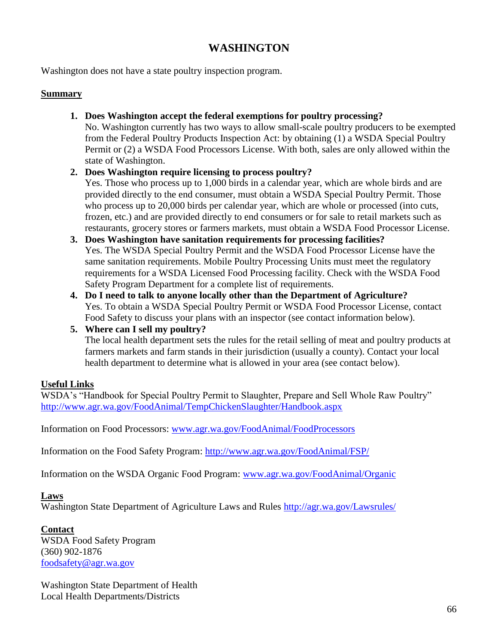# **WASHINGTON**

Washington does not have a state poultry inspection program.

#### **Summary**

**1. Does Washington accept the federal exemptions for poultry processing?**

No. Washington currently has two ways to allow small-scale poultry producers to be exempted from the Federal Poultry Products Inspection Act: by obtaining (1) a WSDA Special Poultry Permit or (2) a WSDA Food Processors License. With both, sales are only allowed within the state of Washington.

#### **2. Does Washington require licensing to process poultry?**

Yes. Those who process up to 1,000 birds in a calendar year, which are whole birds and are provided directly to the end consumer, must obtain a WSDA Special Poultry Permit. Those who process up to 20,000 birds per calendar year, which are whole or processed (into cuts, frozen, etc.) and are provided directly to end consumers or for sale to retail markets such as restaurants, grocery stores or farmers markets, must obtain a WSDA Food Processor License.

#### **3. Does Washington have sanitation requirements for processing facilities?** Yes. The WSDA Special Poultry Permit and the WSDA Food Processor License have the same sanitation requirements. Mobile Poultry Processing Units must meet the regulatory requirements for a WSDA Licensed Food Processing facility. Check with the WSDA Food Safety Program Department for a complete list of requirements.

**4. Do I need to talk to anyone locally other than the Department of Agriculture?** Yes. To obtain a WSDA Special Poultry Permit or WSDA Food Processor License, contact Food Safety to discuss your plans with an inspector (see contact information below).

### **5. Where can I sell my poultry?**

The local health department sets the rules for the retail selling of meat and poultry products at farmers markets and farm stands in their jurisdiction (usually a county). Contact your local health department to determine what is allowed in your area (see contact below).

### **Useful Links**

WSDA's "Handbook for Special Poultry Permit to Slaughter, Prepare and Sell Whole Raw Poultry" <http://www.agr.wa.gov/FoodAnimal/TempChickenSlaughter/Handbook.aspx>

Information on Food Processors: [www.agr.wa.gov/FoodAnimal/FoodProcessors](http://www.agr.wa.gov/FoodAnimal/FoodProcessors)

Information on the Food Safety Program:<http://www.agr.wa.gov/FoodAnimal/FSP/>

Information on the WSDA Organic Food Program: [www.agr.wa.gov/FoodAnimal/Organic](http://www.agr.wa.gov/FoodAnimal/Organic)

#### **Laws**

Washington State Department of Agriculture Laws and Rules<http://agr.wa.gov/Lawsrules/>

### **Contact**

WSDA Food Safety Program (360) 902-1876 [foodsafety@agr.wa.gov](mailto:foodsafety@agr.wa.gov) 

Washington State Department of Health Local Health Departments/Districts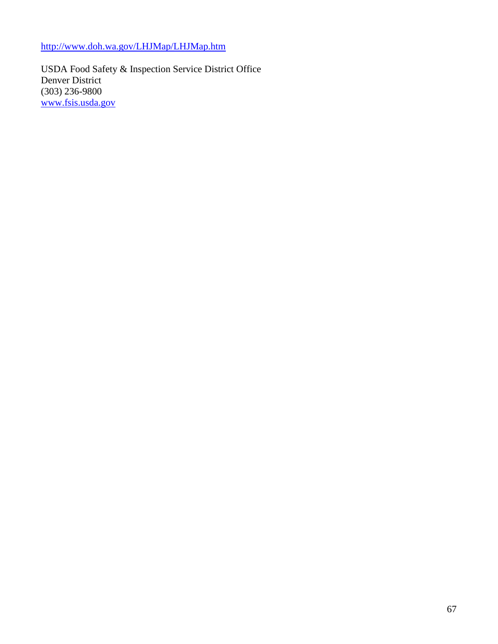<http://www.doh.wa.gov/LHJMap/LHJMap.htm>

USDA Food Safety & Inspection Service District Office Denver District (303) 236-9800 [www.fsis.usda.gov](http://www.fsis.usda.gov/)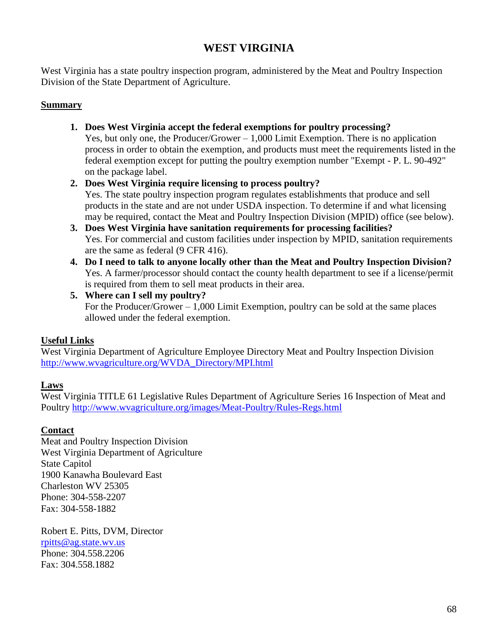# **WEST VIRGINIA**

West Virginia has a state poultry inspection program, administered by the Meat and Poultry Inspection Division of the State Department of Agriculture.

### **Summary**

- **1. Does West Virginia accept the federal exemptions for poultry processing?** Yes, but only one, the Producer/Grower – 1,000 Limit Exemption. There is no application process in order to obtain the exemption, and products must meet the requirements listed in the federal exemption except for putting the poultry exemption number "Exempt - P. L. 90-492" on the package label.
- **2. Does West Virginia require licensing to process poultry?**

Yes. The state poultry inspection program regulates establishments that produce and sell products in the state and are not under USDA inspection. To determine if and what licensing may be required, contact the Meat and Poultry Inspection Division (MPID) office (see below).

- **3. Does West Virginia have sanitation requirements for processing facilities?** Yes. For commercial and custom facilities under inspection by MPID, sanitation requirements are the same as federal (9 CFR 416).
- **4. Do I need to talk to anyone locally other than the Meat and Poultry Inspection Division?** Yes. A farmer/processor should contact the county health department to see if a license/permit is required from them to sell meat products in their area.
- **5. Where can I sell my poultry?** For the Producer/Grower  $-1,000$  Limit Exemption, poultry can be sold at the same places allowed under the federal exemption.

# **Useful Links**

West Virginia Department of Agriculture Employee Directory Meat and Poultry Inspection Division [http://www.wvagriculture.org/WVDA\\_Directory/MPI.html](http://www.wvagriculture.org/WVDA_Directory/MPI.html)

### **Laws**

West Virginia TITLE 61 Legislative Rules Department of Agriculture Series 16 Inspection of Meat and Poultry<http://www.wvagriculture.org/images/Meat-Poultry/Rules-Regs.html>

### **Contact**

Meat and Poultry Inspection Division West Virginia Department of Agriculture State Capitol 1900 Kanawha Boulevard East Charleston WV 25305 Phone: 304-558-2207 Fax: 304-558-1882

Robert E. Pitts, DVM, Director [rpitts@ag.state.wv.us](mailto:rpitts@ag.state.wv.us)  Phone: 304.558.2206 Fax: 304.558.1882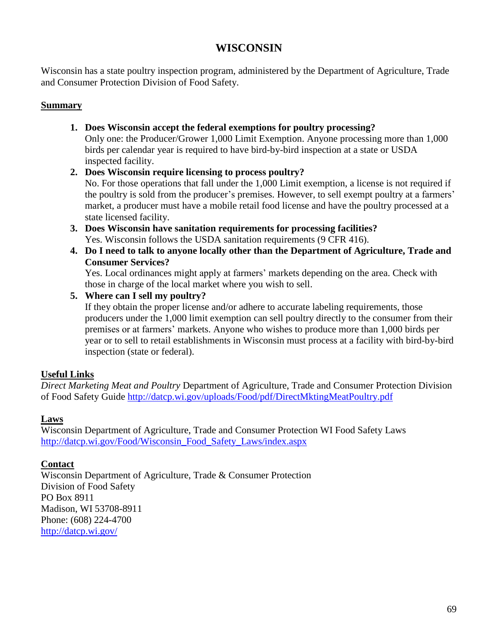# **WISCONSIN**

Wisconsin has a state poultry inspection program, administered by the Department of Agriculture, Trade and Consumer Protection Division of Food Safety.

### **Summary**

- **1. Does Wisconsin accept the federal exemptions for poultry processing?** Only one: the Producer/Grower 1,000 Limit Exemption. Anyone processing more than 1,000 birds per calendar year is required to have bird-by-bird inspection at a state or USDA inspected facility.
- **2. Does Wisconsin require licensing to process poultry?**

No. For those operations that fall under the 1,000 Limit exemption, a license is not required if the poultry is sold from the producer's premises. However, to sell exempt poultry at a farmers' market, a producer must have a mobile retail food license and have the poultry processed at a state licensed facility.

- **3. Does Wisconsin have sanitation requirements for processing facilities?** Yes. Wisconsin follows the USDA sanitation requirements (9 CFR 416).
- **4. Do I need to talk to anyone locally other than the Department of Agriculture, Trade and Consumer Services?**

Yes. Local ordinances might apply at farmers' markets depending on the area. Check with those in charge of the local market where you wish to sell.

**5. Where can I sell my poultry?**

If they obtain the proper license and/or adhere to accurate labeling requirements, those producers under the 1,000 limit exemption can sell poultry directly to the consumer from their premises or at farmers' markets. Anyone who wishes to produce more than 1,000 birds per year or to sell to retail establishments in Wisconsin must process at a facility with bird-by-bird inspection (state or federal).

# **Useful Links**

*Direct Marketing Meat and Poultry* Department of Agriculture, Trade and Consumer Protection Division of Food Safety Guide<http://datcp.wi.gov/uploads/Food/pdf/DirectMktingMeatPoultry.pdf>

### **Laws**

Wisconsin Department of Agriculture, Trade and Consumer Protection WI Food Safety Laws [http://datcp.wi.gov/Food/Wisconsin\\_Food\\_Safety\\_Laws/index.aspx](http://datcp.wi.gov/Food/Wisconsin_Food_Safety_Laws/index.aspx)

# **Contact**

Wisconsin Department of Agriculture, Trade & Consumer Protection Division of Food Safety PO Box 8911 Madison, WI 53708-8911 Phone: (608) 224-4700 <http://datcp.wi.gov/>